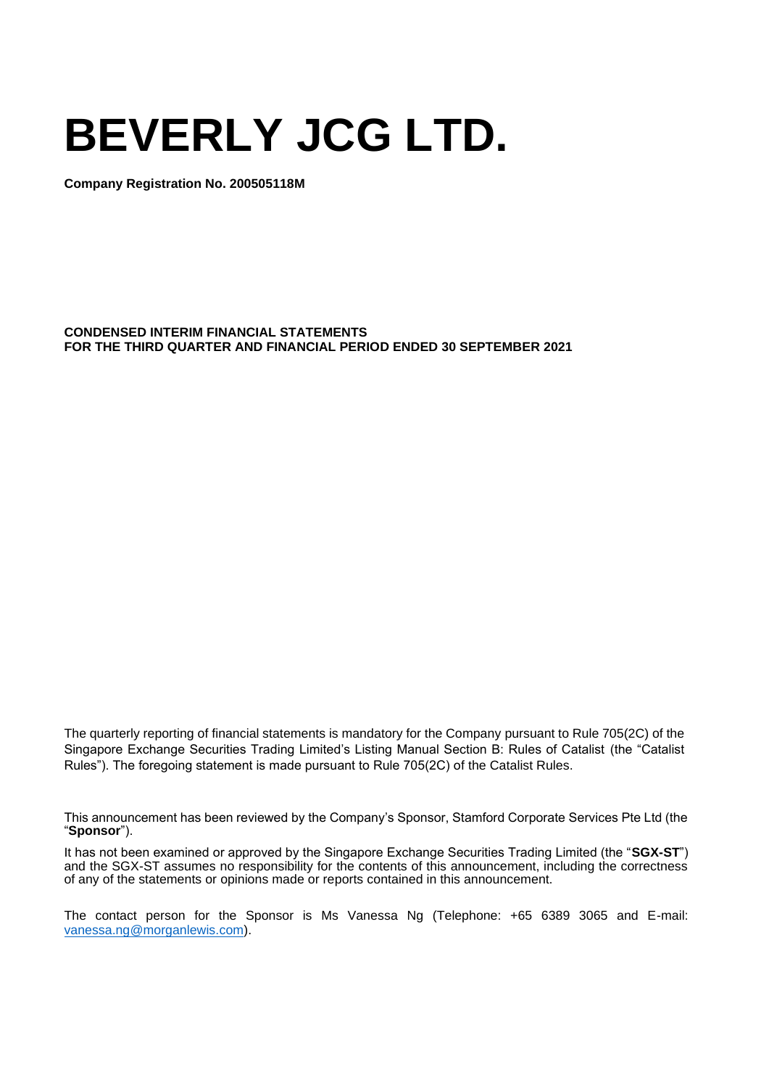# **BEVERLY JCG LTD.**

**Company Registration No. 200505118M**

**CONDENSED INTERIM FINANCIAL STATEMENTS FOR THE THIRD QUARTER AND FINANCIAL PERIOD ENDED 30 SEPTEMBER 2021**

The quarterly reporting of financial statements is mandatory for the Company pursuant to Rule 705(2C) of the Singapore Exchange Securities Trading Limited's Listing Manual Section B: Rules of Catalist (the "Catalist Rules"). The foregoing statement is made pursuant to Rule 705(2C) of the Catalist Rules.

This announcement has been reviewed by the Company's Sponsor, Stamford Corporate Services Pte Ltd (the "**Sponsor**").

It has not been examined or approved by the Singapore Exchange Securities Trading Limited (the "**SGX-ST**") and the SGX-ST assumes no responsibility for the contents of this announcement, including the correctness of any of the statements or opinions made or reports contained in this announcement.

The contact person for the Sponsor is Ms Vanessa Ng (Telephone: +65 6389 3065 and E-mail: [vanessa.ng@morganlewis.com\)](mailto:vanessa.ng@morganlewis.com).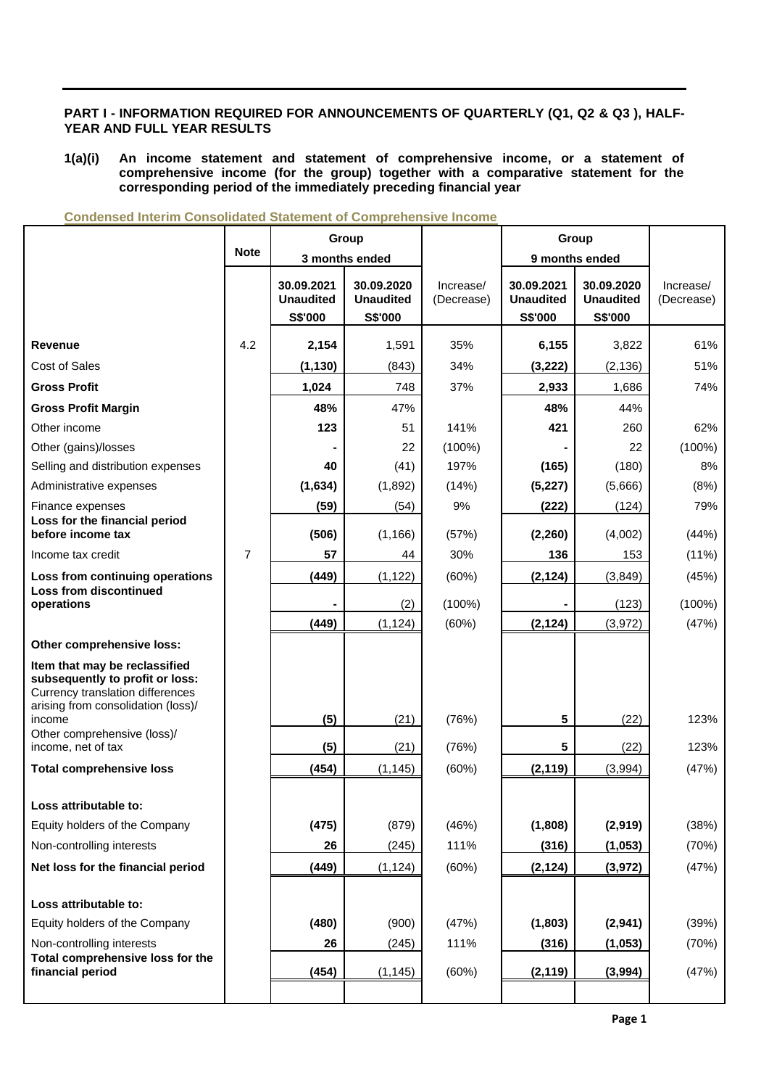## **PART I - INFORMATION REQUIRED FOR ANNOUNCEMENTS OF QUARTERLY (Q1, Q2 & Q3 ), HALF-YEAR AND FULL YEAR RESULTS**

**1(a)(i) An income statement and statement of comprehensive income, or a statement of comprehensive income (for the group) together with a comparative statement for the corresponding period of the immediately preceding financial year**

|                                                                                                                                                      |                |                                           | Group                                     | Group                   |                                           |                                           |                         |
|------------------------------------------------------------------------------------------------------------------------------------------------------|----------------|-------------------------------------------|-------------------------------------------|-------------------------|-------------------------------------------|-------------------------------------------|-------------------------|
|                                                                                                                                                      | <b>Note</b>    |                                           | 3 months ended                            |                         |                                           | 9 months ended                            |                         |
|                                                                                                                                                      |                | 30.09.2021<br><b>Unaudited</b><br>S\$'000 | 30.09.2020<br><b>Unaudited</b><br>S\$'000 | Increase/<br>(Decrease) | 30.09.2021<br><b>Unaudited</b><br>S\$'000 | 30.09.2020<br><b>Unaudited</b><br>S\$'000 | Increase/<br>(Decrease) |
| <b>Revenue</b>                                                                                                                                       | 4.2            | 2,154                                     | 1,591                                     | 35%                     | 6,155                                     | 3,822                                     | 61%                     |
| Cost of Sales                                                                                                                                        |                | (1, 130)                                  | (843)                                     | 34%                     | (3, 222)                                  | (2, 136)                                  | 51%                     |
| <b>Gross Profit</b>                                                                                                                                  |                | 1,024                                     | 748                                       | 37%                     | 2,933                                     | 1,686                                     | 74%                     |
| <b>Gross Profit Margin</b>                                                                                                                           |                | 48%                                       | 47%                                       |                         | 48%                                       | 44%                                       |                         |
| Other income                                                                                                                                         |                | 123                                       | 51                                        | 141%                    | 421                                       | 260                                       | 62%                     |
| Other (gains)/losses                                                                                                                                 |                |                                           | 22                                        | $(100\%)$               |                                           | 22                                        | $(100\%)$               |
| Selling and distribution expenses                                                                                                                    |                | 40                                        | (41)                                      | 197%                    | (165)                                     | (180)                                     | 8%                      |
| Administrative expenses                                                                                                                              |                | (1,634)                                   | (1,892)                                   | (14%)                   | (5, 227)                                  | (5,666)                                   | (8%)                    |
| Finance expenses                                                                                                                                     |                | (59)                                      | (54)                                      | 9%                      | (222)                                     | (124)                                     | 79%                     |
| Loss for the financial period<br>before income tax                                                                                                   |                | (506)                                     | (1, 166)                                  | (57%)                   | (2,260)                                   | (4,002)                                   | (44%)                   |
| Income tax credit                                                                                                                                    | $\overline{7}$ | 57                                        | 44                                        | 30%                     | 136                                       | 153                                       | (11%)                   |
| Loss from continuing operations                                                                                                                      |                | (449)                                     | (1, 122)                                  | (60%)                   | (2, 124)                                  | (3,849)                                   | (45%)                   |
| <b>Loss from discontinued</b><br>operations                                                                                                          |                |                                           | (2)                                       | $(100\%)$               |                                           | (123)                                     | $(100\%)$               |
|                                                                                                                                                      |                | (449)                                     | (1, 124)                                  | (60%)                   | (2, 124)                                  | (3,972)                                   | (47%)                   |
| Other comprehensive loss:                                                                                                                            |                |                                           |                                           |                         |                                           |                                           |                         |
| Item that may be reclassified<br>subsequently to profit or loss:<br>Currency translation differences<br>arising from consolidation (loss)/<br>income |                | (5)                                       | (21)                                      | (76%)                   | 5                                         | (22)                                      | 123%                    |
| Other comprehensive (loss)/                                                                                                                          |                |                                           |                                           |                         |                                           |                                           |                         |
| income, net of tax                                                                                                                                   |                | (5)                                       | (21)                                      | (76%)                   | 5                                         | (22)                                      | 123%                    |
| <b>Total comprehensive loss</b>                                                                                                                      |                | (454)                                     | (1, 145)                                  | (60%)                   | (2, 119)                                  | (3,994)                                   | (47%)                   |
| Loss attributable to:                                                                                                                                |                |                                           |                                           |                         |                                           |                                           |                         |
| Equity holders of the Company                                                                                                                        |                | (475)                                     | (879)                                     | (46%)                   | (1,808)                                   | (2,919)                                   | (38%)                   |
| Non-controlling interests                                                                                                                            |                | 26                                        | (245)                                     | 111%                    | (316)                                     | (1, 053)                                  | (70%)                   |
| Net loss for the financial period                                                                                                                    |                | (449)                                     | (1, 124)                                  | (60%)                   | (2, 124)                                  | (3,972)                                   | (47%)                   |
|                                                                                                                                                      |                |                                           |                                           |                         |                                           |                                           |                         |
| Loss attributable to:                                                                                                                                |                |                                           |                                           |                         |                                           |                                           |                         |
| Equity holders of the Company                                                                                                                        |                | (480)                                     | (900)                                     | (47%)                   | (1,803)                                   | (2,941)                                   | (39%)                   |
| Non-controlling interests                                                                                                                            |                | 26                                        | (245)                                     | 111%                    | (316)                                     | (1, 053)                                  | (70%)                   |
| Total comprehensive loss for the<br>financial period                                                                                                 |                | (454)                                     | (1, 145)                                  | (60%)                   | (2, 119)                                  | (3,994)                                   | (47%)                   |

**Condensed Interim Consolidated Statement of Comprehensive Income**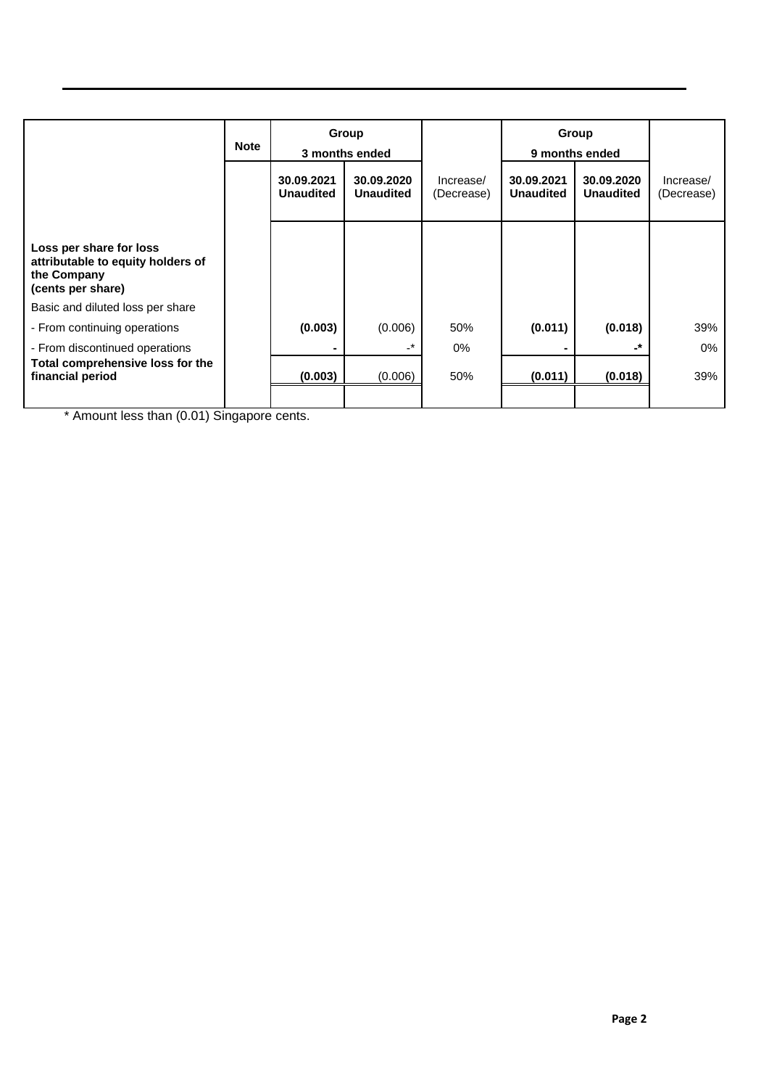|                                                                                                  | <b>Note</b> |                                | Group<br>3 months ended        |                         | Group<br>9 months ended        |                                |                         |
|--------------------------------------------------------------------------------------------------|-------------|--------------------------------|--------------------------------|-------------------------|--------------------------------|--------------------------------|-------------------------|
|                                                                                                  |             | 30.09.2021<br><b>Unaudited</b> | 30.09.2020<br><b>Unaudited</b> | Increase/<br>(Decrease) | 30.09.2021<br><b>Unaudited</b> | 30.09.2020<br><b>Unaudited</b> | Increase/<br>(Decrease) |
| Loss per share for loss<br>attributable to equity holders of<br>the Company<br>(cents per share) |             |                                |                                |                         |                                |                                |                         |
| Basic and diluted loss per share                                                                 |             |                                |                                |                         |                                |                                |                         |
| - From continuing operations                                                                     |             | (0.003)                        | (0.006)                        | 50%                     | (0.011)                        | (0.018)                        | 39%                     |
| - From discontinued operations                                                                   |             |                                | $-*$                           | 0%                      |                                | -*                             | 0%                      |
| Total comprehensive loss for the<br>financial period                                             |             | (0.003)                        | (0.006)                        | 50%                     | (0.011)                        | (0.018)                        | 39%                     |
|                                                                                                  |             |                                |                                |                         |                                |                                |                         |

\* Amount less than (0.01) Singapore cents.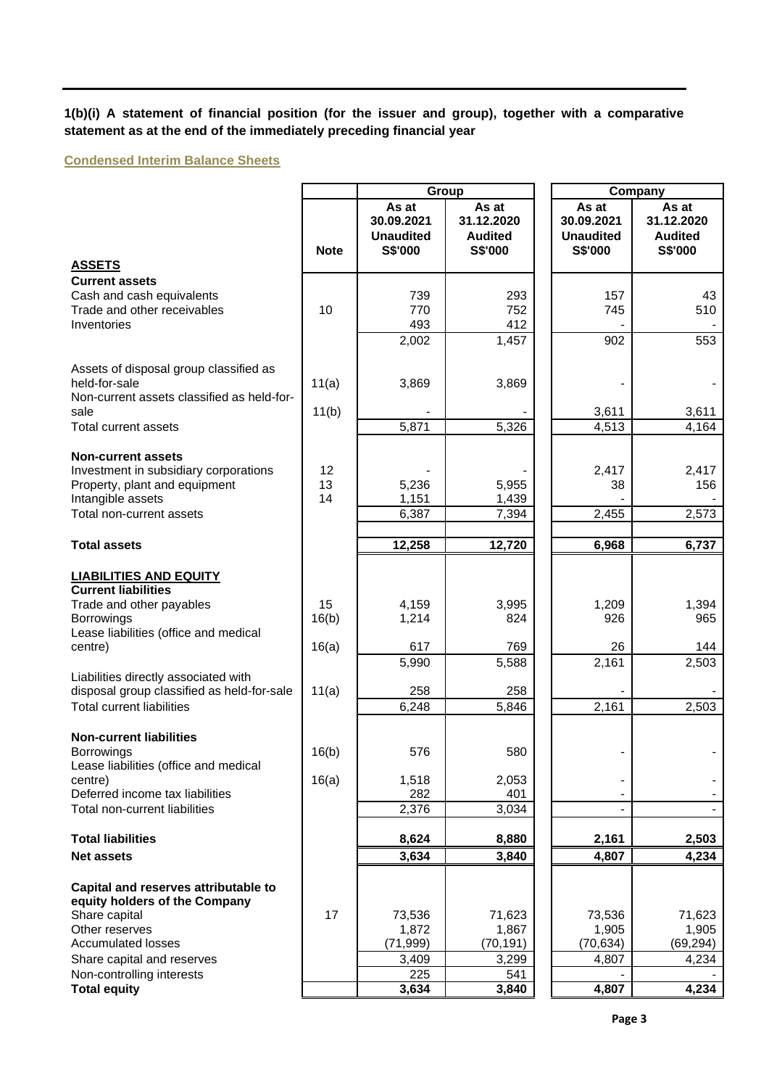**1(b)(i) A statement of financial position (for the issuer and group), together with a comparative statement as at the end of the immediately preceding financial year**

**Condensed Interim Balance Sheets**

|                                                                        |             |                                                    | Group                                                   | Company |                                                    |                                                  |
|------------------------------------------------------------------------|-------------|----------------------------------------------------|---------------------------------------------------------|---------|----------------------------------------------------|--------------------------------------------------|
|                                                                        | <b>Note</b> | As at<br>30.09.2021<br><b>Unaudited</b><br>S\$'000 | As at<br>31.12.2020<br><b>Audited</b><br><b>S\$'000</b> |         | As at<br>30.09.2021<br><b>Unaudited</b><br>S\$'000 | As at<br>31.12.2020<br><b>Audited</b><br>S\$'000 |
| <b>ASSETS</b>                                                          |             |                                                    |                                                         |         |                                                    |                                                  |
| <b>Current assets</b>                                                  |             |                                                    |                                                         |         |                                                    |                                                  |
| Cash and cash equivalents<br>Trade and other receivables               | 10          | 739<br>770                                         | 293<br>752                                              |         | 157<br>745                                         | 43<br>510                                        |
| Inventories                                                            |             | 493                                                | 412                                                     |         |                                                    |                                                  |
|                                                                        |             | $\overline{2,002}$                                 | 1,457                                                   |         | 902                                                | 553                                              |
|                                                                        |             |                                                    |                                                         |         |                                                    |                                                  |
| Assets of disposal group classified as<br>held-for-sale                |             |                                                    | 3,869                                                   |         |                                                    |                                                  |
| Non-current assets classified as held-for-                             | 11(a)       | 3,869                                              |                                                         |         |                                                    |                                                  |
| sale                                                                   | 11(b)       |                                                    |                                                         |         | 3,611                                              | 3,611                                            |
| <b>Total current assets</b>                                            |             | 5,871                                              | 5,326                                                   |         | 4,513                                              | 4,164                                            |
|                                                                        |             |                                                    |                                                         |         |                                                    |                                                  |
| <b>Non-current assets</b>                                              | 12          |                                                    |                                                         |         | 2,417                                              | 2,417                                            |
| Investment in subsidiary corporations<br>Property, plant and equipment | 13          | 5,236                                              | 5,955                                                   |         | 38                                                 | 156                                              |
| Intangible assets                                                      | 14          | 1,151                                              | 1,439                                                   |         |                                                    |                                                  |
| Total non-current assets                                               |             | 6,387                                              | 7,394                                                   |         | 2,455                                              | 2,573                                            |
|                                                                        |             |                                                    |                                                         |         |                                                    |                                                  |
| <b>Total assets</b>                                                    |             | 12,258                                             | 12,720                                                  |         | 6,968                                              | 6,737                                            |
| <b>LIABILITIES AND EQUITY</b><br><b>Current liabilities</b>            |             |                                                    |                                                         |         |                                                    |                                                  |
| Trade and other payables                                               | 15          | 4,159                                              | 3,995                                                   |         | 1,209                                              | 1,394                                            |
| <b>Borrowings</b>                                                      | 16(b)       | 1,214                                              | 824                                                     |         | 926                                                | 965                                              |
| Lease liabilities (office and medical<br>centre)                       | 16(a)       | 617                                                | 769                                                     |         | 26                                                 | 144                                              |
|                                                                        |             | 5,990                                              | 5,588                                                   |         | 2,161                                              | 2,503                                            |
| Liabilities directly associated with                                   |             |                                                    |                                                         |         |                                                    |                                                  |
| disposal group classified as held-for-sale                             | 11(a)       | 258                                                | 258                                                     |         |                                                    |                                                  |
| <b>Total current liabilities</b>                                       |             | 6,248                                              | 5,846                                                   |         | 2,161                                              | 2,503                                            |
| <b>Non-current liabilities</b>                                         |             |                                                    |                                                         |         |                                                    |                                                  |
| <b>Borrowings</b>                                                      | 16(b)       | 576                                                | 580                                                     |         |                                                    |                                                  |
| Lease liabilities (office and medical                                  |             |                                                    |                                                         |         |                                                    |                                                  |
| centre)                                                                | 16(a)       | 1,518                                              | 2,053                                                   |         |                                                    |                                                  |
| Deferred income tax liabilities                                        |             | 282                                                | 401                                                     |         |                                                    |                                                  |
| Total non-current liabilities                                          |             | 2,376                                              | 3,034                                                   |         |                                                    |                                                  |
| <b>Total liabilities</b>                                               |             | 8,624                                              | 8,880                                                   |         | 2,161                                              | 2,503                                            |
| <b>Net assets</b>                                                      |             | 3,634                                              | 3,840                                                   |         | 4,807                                              | 4,234                                            |
|                                                                        |             |                                                    |                                                         |         |                                                    |                                                  |
| Capital and reserves attributable to<br>equity holders of the Company  |             |                                                    |                                                         |         |                                                    |                                                  |
| Share capital                                                          | 17          | 73,536                                             | 71,623                                                  |         | 73,536                                             | 71,623                                           |
| Other reserves                                                         |             | 1,872                                              | 1,867                                                   |         | 1,905                                              | 1,905                                            |
| <b>Accumulated losses</b>                                              |             | (71, 999)                                          | (70, 191)                                               |         | (70, 634)                                          | (69,294)                                         |
| Share capital and reserves                                             |             | 3,409                                              | 3,299                                                   |         | 4,807                                              | 4,234                                            |
| Non-controlling interests                                              |             | 225                                                | 541                                                     |         |                                                    |                                                  |
| <b>Total equity</b>                                                    |             | 3,634                                              | 3,840                                                   |         | 4,807                                              | 4,234                                            |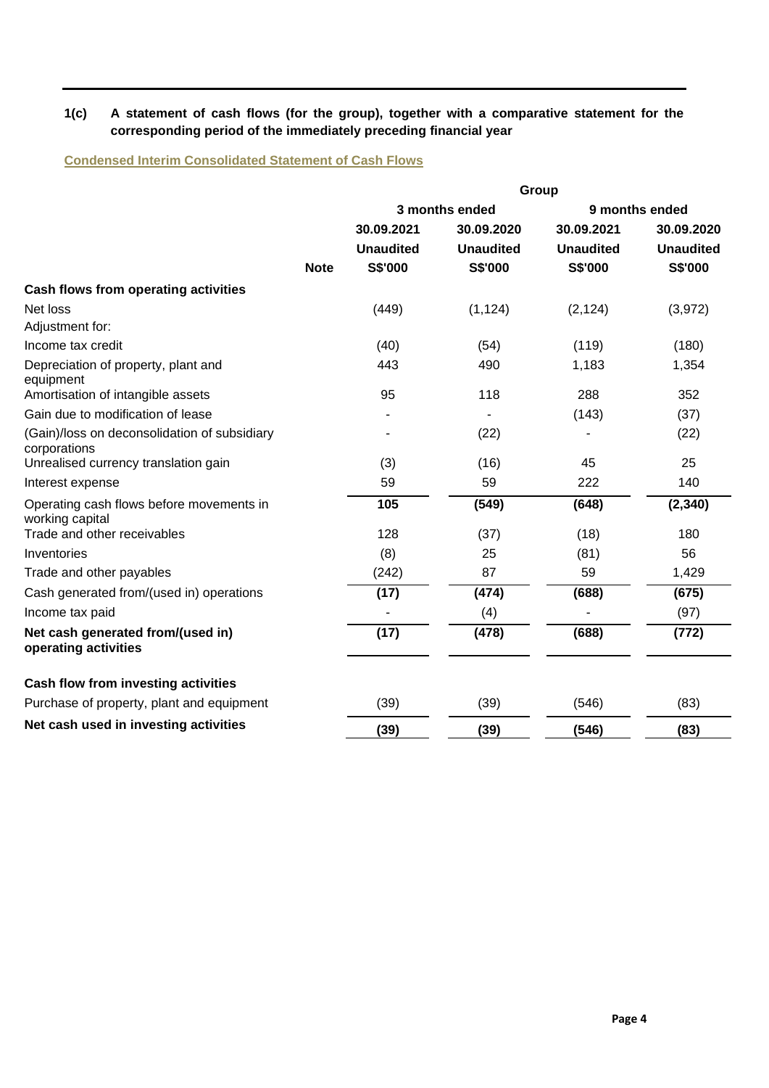## **1(c) A statement of cash flows (for the group), together with a comparative statement for the corresponding period of the immediately preceding financial year**

**Condensed Interim Consolidated Statement of Cash Flows**

|                                                              |             |                  |                  | Group            |                  |
|--------------------------------------------------------------|-------------|------------------|------------------|------------------|------------------|
|                                                              |             |                  | 3 months ended   |                  | 9 months ended   |
|                                                              |             | 30.09.2021       | 30.09.2020       | 30.09.2021       | 30.09.2020       |
|                                                              |             | <b>Unaudited</b> | <b>Unaudited</b> | <b>Unaudited</b> | <b>Unaudited</b> |
|                                                              | <b>Note</b> | S\$'000          | S\$'000          | <b>S\$'000</b>   | S\$'000          |
| Cash flows from operating activities                         |             |                  |                  |                  |                  |
| Net loss                                                     |             | (449)            | (1, 124)         | (2, 124)         | (3,972)          |
| Adjustment for:                                              |             |                  |                  |                  |                  |
| Income tax credit                                            |             | (40)             | (54)             | (119)            | (180)            |
| Depreciation of property, plant and<br>equipment             |             | 443              | 490              | 1,183            | 1,354            |
| Amortisation of intangible assets                            |             | 95               | 118              | 288              | 352              |
| Gain due to modification of lease                            |             |                  |                  | (143)            | (37)             |
| (Gain)/loss on deconsolidation of subsidiary<br>corporations |             |                  | (22)             |                  | (22)             |
| Unrealised currency translation gain                         |             | (3)              | (16)             | 45               | 25               |
| Interest expense                                             |             | 59               | 59               | 222              | 140              |
| Operating cash flows before movements in<br>working capital  |             | 105              | (549)            | (648)            | (2, 340)         |
| Trade and other receivables                                  |             | 128              | (37)             | (18)             | 180              |
| Inventories                                                  |             | (8)              | 25               | (81)             | 56               |
| Trade and other payables                                     |             | (242)            | 87               | 59               | 1,429            |
| Cash generated from/(used in) operations                     |             | (17)             | (474)            | (688)            | (675)            |
| Income tax paid                                              |             |                  | (4)              |                  | (97)             |
| Net cash generated from/(used in)<br>operating activities    |             | (17)             | (478)            | (688)            | (772)            |
| Cash flow from investing activities                          |             |                  |                  |                  |                  |
| Purchase of property, plant and equipment                    |             | (39)             | (39)             | (546)            | (83)             |
| Net cash used in investing activities                        |             | (39)             | (39)             | (546)            | (83)             |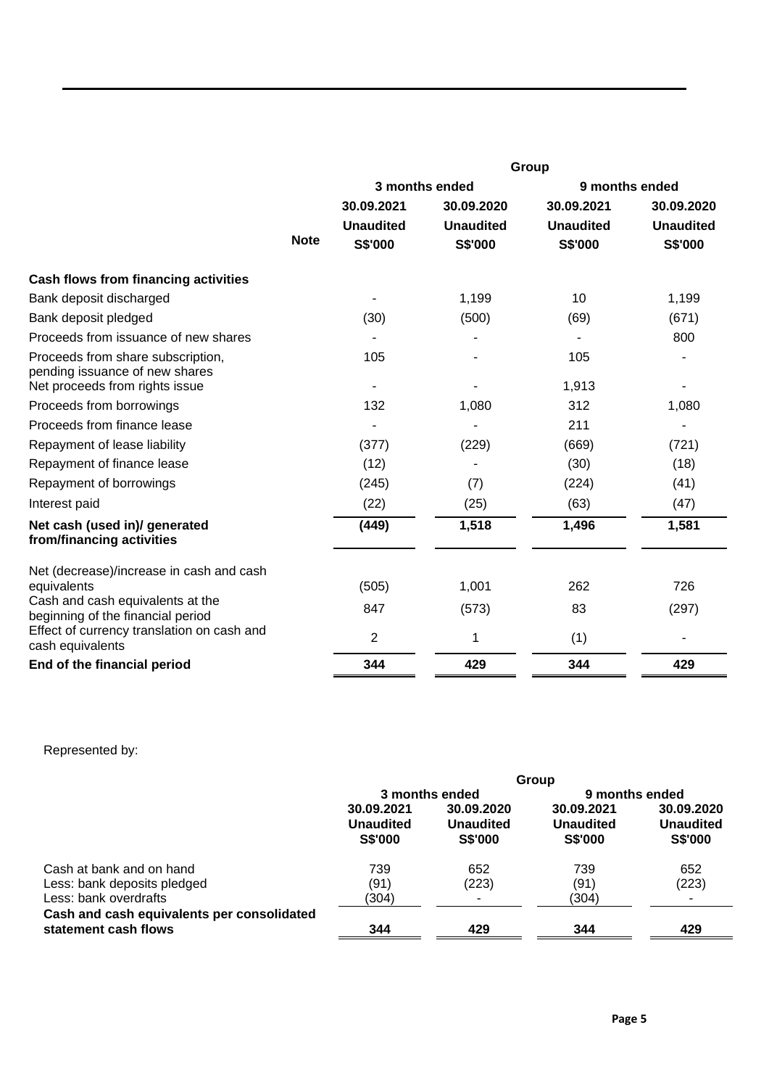|                                                                     |             | Group                    |                  |                  |                  |  |  |
|---------------------------------------------------------------------|-------------|--------------------------|------------------|------------------|------------------|--|--|
|                                                                     |             |                          | 3 months ended   | 9 months ended   |                  |  |  |
|                                                                     |             | 30.09.2021               | 30.09.2020       | 30.09.2021       | 30.09.2020       |  |  |
|                                                                     |             | <b>Unaudited</b>         | <b>Unaudited</b> | <b>Unaudited</b> | <b>Unaudited</b> |  |  |
|                                                                     | <b>Note</b> | <b>S\$'000</b>           | S\$'000          | S\$'000          | S\$'000          |  |  |
| Cash flows from financing activities                                |             |                          |                  |                  |                  |  |  |
| Bank deposit discharged                                             |             |                          | 1,199            | 10               | 1,199            |  |  |
| Bank deposit pledged                                                |             | (30)                     | (500)            | (69)             | (671)            |  |  |
| Proceeds from issuance of new shares                                |             |                          |                  |                  | 800              |  |  |
| Proceeds from share subscription,<br>pending issuance of new shares |             | 105                      |                  | 105              |                  |  |  |
| Net proceeds from rights issue                                      |             | $\overline{\phantom{a}}$ |                  | 1,913            |                  |  |  |
| Proceeds from borrowings                                            |             | 132                      | 1,080            | 312              | 1,080            |  |  |
| Proceeds from finance lease                                         |             |                          |                  | 211              |                  |  |  |
| Repayment of lease liability                                        |             | (377)                    | (229)            | (669)            | (721)            |  |  |
| Repayment of finance lease                                          |             | (12)                     |                  | (30)             | (18)             |  |  |
| Repayment of borrowings                                             |             | (245)                    | (7)              | (224)            | (41)             |  |  |
| Interest paid                                                       |             | (22)                     | (25)             | (63)             | (47)             |  |  |
| Net cash (used in)/ generated<br>from/financing activities          |             | (449)                    | 1,518            | 1,496            | 1,581            |  |  |
| Net (decrease)/increase in cash and cash                            |             |                          | 1,001            | 262              | 726              |  |  |
| equivalents<br>Cash and cash equivalents at the                     |             | (505)                    |                  |                  |                  |  |  |
| beginning of the financial period                                   |             | 847                      | (573)            | 83               | (297)            |  |  |
| Effect of currency translation on cash and<br>cash equivalents      |             | $\overline{2}$           | 1                | (1)              |                  |  |  |
| End of the financial period                                         |             | 344                      | 429              | 344              | 429              |  |  |
|                                                                     |             |                          |                  |                  |                  |  |  |

# Represented by:

|                                                                    | Group                                            |                                                  |                                                  |                                                  |  |  |
|--------------------------------------------------------------------|--------------------------------------------------|--------------------------------------------------|--------------------------------------------------|--------------------------------------------------|--|--|
|                                                                    |                                                  | 3 months ended                                   | 9 months ended                                   |                                                  |  |  |
|                                                                    | 30.09.2021<br><b>Unaudited</b><br><b>S\$'000</b> | 30.09.2020<br><b>Unaudited</b><br><b>S\$'000</b> | 30.09.2021<br><b>Unaudited</b><br><b>S\$'000</b> | 30.09.2020<br><b>Unaudited</b><br><b>S\$'000</b> |  |  |
| Cash at bank and on hand                                           | 739                                              | 652                                              | 739                                              | 652                                              |  |  |
| Less: bank deposits pledged                                        | (91)                                             | (223)                                            | (91)                                             | (223)                                            |  |  |
| Less: bank overdrafts                                              | (304)                                            |                                                  | (304)                                            |                                                  |  |  |
| Cash and cash equivalents per consolidated<br>statement cash flows | 344                                              | 429                                              | 344                                              | 429                                              |  |  |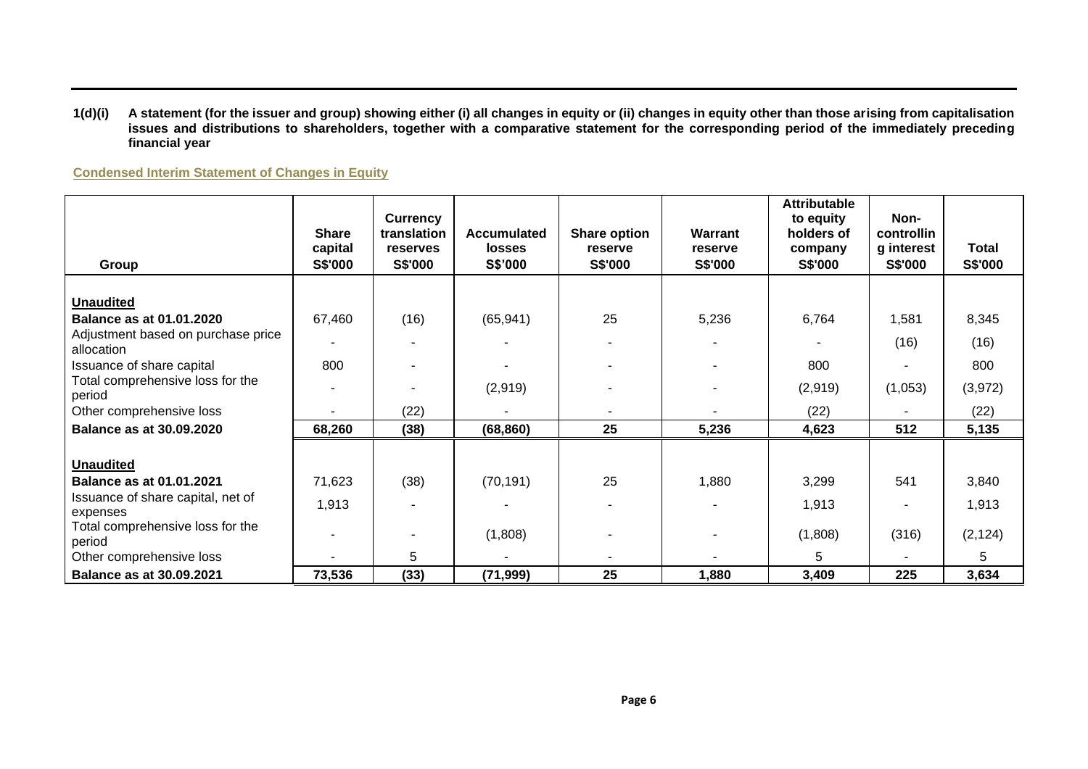#### **1(d)(i) A statement (for the issuer and group) showing either (i) all changes in equity or (ii) changes in equity other than those arising from capitalisation issues and distributions to shareholders, together with a comparative statement for the corresponding period of the immediately preceding financial year**

**Condensed Interim Statement of Changes in Equity**

| Group                                            | <b>Share</b><br>capital<br><b>S\$'000</b> | <b>Currency</b><br>translation<br>reserves<br><b>S\$'000</b> | <b>Accumulated</b><br><b>losses</b><br>S\$'000 | Share option<br>reserve<br>S\$'000 | Warrant<br>reserve<br>S\$'000 | <b>Attributable</b><br>to equity<br>holders of<br>company<br>S\$'000 | Non-<br>controllin<br>g interest<br><b>S\$'000</b> | Total<br><b>S\$'000</b> |
|--------------------------------------------------|-------------------------------------------|--------------------------------------------------------------|------------------------------------------------|------------------------------------|-------------------------------|----------------------------------------------------------------------|----------------------------------------------------|-------------------------|
|                                                  |                                           |                                                              |                                                |                                    |                               |                                                                      |                                                    |                         |
| <b>Unaudited</b>                                 |                                           |                                                              |                                                |                                    |                               |                                                                      |                                                    |                         |
| Balance as at 01.01.2020                         | 67,460                                    | (16)                                                         | (65, 941)                                      | 25                                 | 5,236                         | 6,764                                                                | 1,581                                              | 8,345                   |
| Adjustment based on purchase price<br>allocation |                                           |                                                              |                                                |                                    |                               |                                                                      | (16)                                               | (16)                    |
| Issuance of share capital                        | 800                                       |                                                              |                                                |                                    |                               | 800                                                                  |                                                    | 800                     |
| Total comprehensive loss for the<br>period       |                                           |                                                              | (2,919)                                        |                                    |                               | (2,919)                                                              | (1,053)                                            | (3,972)                 |
| Other comprehensive loss                         |                                           | (22)                                                         |                                                |                                    |                               | (22)                                                                 |                                                    | (22)                    |
| <b>Balance as at 30.09.2020</b>                  | 68,260                                    | (38)                                                         | (68, 860)                                      | 25                                 | 5,236                         | 4,623                                                                | 512                                                | 5,135                   |
|                                                  |                                           |                                                              |                                                |                                    |                               |                                                                      |                                                    |                         |
| <b>Unaudited</b>                                 |                                           |                                                              |                                                |                                    |                               |                                                                      |                                                    |                         |
| <b>Balance as at 01.01.2021</b>                  | 71,623                                    | (38)                                                         | (70, 191)                                      | 25                                 | 1,880                         | 3,299                                                                | 541                                                | 3,840                   |
| Issuance of share capital, net of<br>expenses    | 1,913                                     |                                                              |                                                |                                    |                               | 1,913                                                                |                                                    | 1,913                   |
| Total comprehensive loss for the<br>period       |                                           |                                                              | (1,808)                                        |                                    |                               | (1,808)                                                              | (316)                                              | (2, 124)                |
| Other comprehensive loss                         |                                           | 5                                                            | ٠                                              |                                    |                               | 5                                                                    |                                                    | 5                       |
| <b>Balance as at 30.09.2021</b>                  | 73,536                                    | (33)                                                         | (71, 999)                                      | 25                                 | 1,880                         | 3,409                                                                | 225                                                | 3,634                   |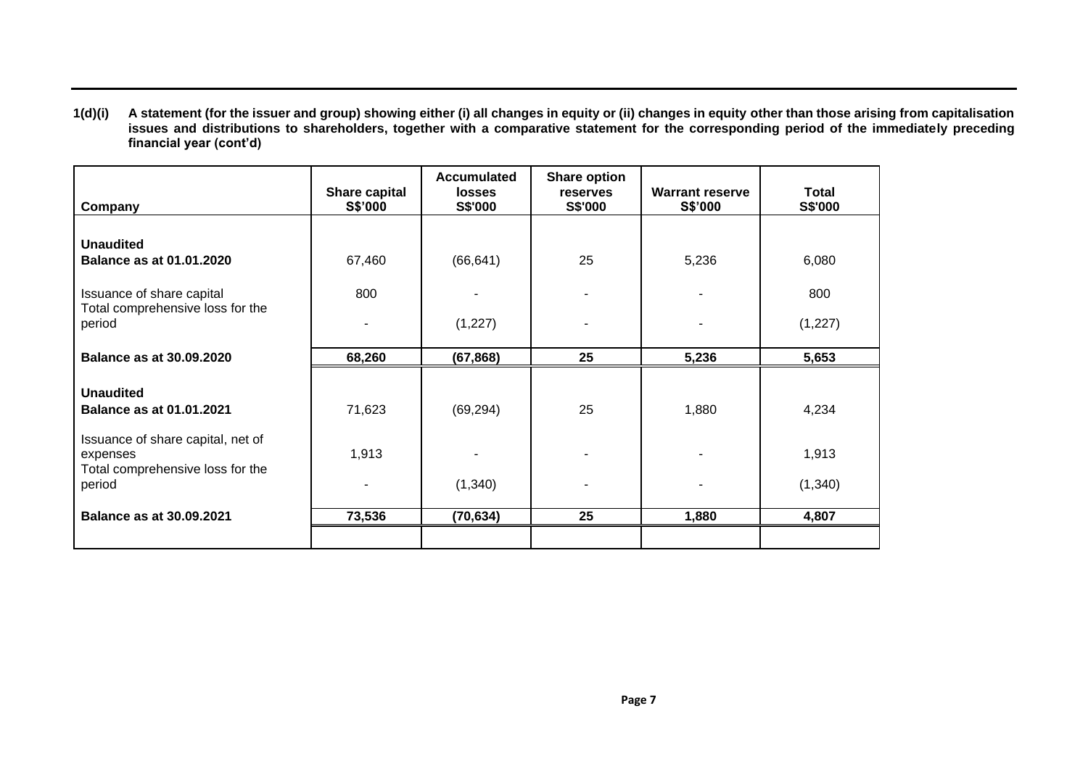**1(d)(i) A statement (for the issuer and group) showing either (i) all changes in equity or (ii) changes in equity other than those arising from capitalisation issues and distributions to shareholders, together with a comparative statement for the corresponding period of the immediately preceding financial year (cont'd)**

| Company                                                                                     | Share capital<br><b>S\$'000</b> | <b>Accumulated</b><br><b>losses</b><br><b>S\$'000</b> | <b>Share option</b><br>reserves<br><b>S\$'000</b> | <b>Warrant reserve</b><br>S\$'000 | Total<br>S\$'000  |
|---------------------------------------------------------------------------------------------|---------------------------------|-------------------------------------------------------|---------------------------------------------------|-----------------------------------|-------------------|
| <b>Unaudited</b><br><b>Balance as at 01.01.2020</b>                                         | 67,460                          | (66, 641)                                             | 25                                                | 5,236                             | 6,080             |
| Issuance of share capital<br>Total comprehensive loss for the<br>period                     | 800                             | (1,227)                                               |                                                   |                                   | 800<br>(1, 227)   |
| <b>Balance as at 30.09.2020</b>                                                             | 68,260                          | (67, 868)                                             | 25                                                | 5,236                             | 5,653             |
| <b>Unaudited</b><br><b>Balance as at 01.01.2021</b>                                         | 71,623                          | (69, 294)                                             | 25                                                | 1,880                             | 4,234             |
| Issuance of share capital, net of<br>expenses<br>Total comprehensive loss for the<br>period | 1,913                           | (1,340)                                               |                                                   |                                   | 1,913<br>(1, 340) |
| <b>Balance as at 30.09.2021</b>                                                             | 73,536                          | (70, 634)                                             | 25                                                | 1,880                             | 4,807             |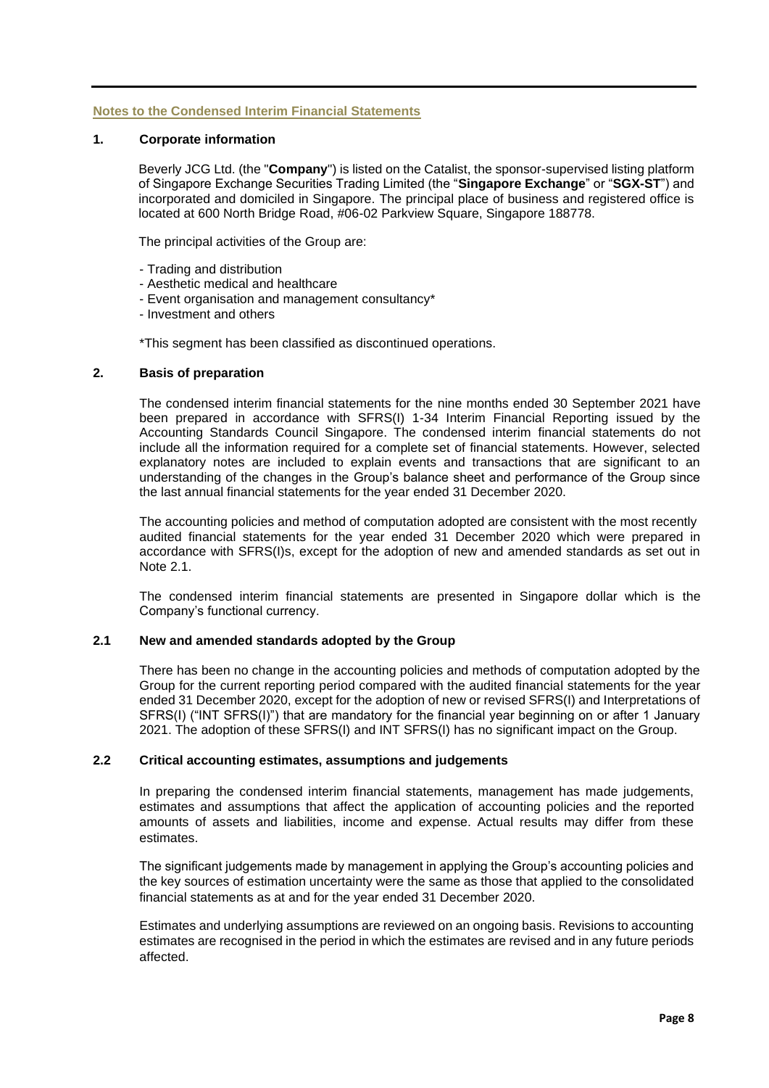## **Notes to the Condensed Interim Financial Statements**

## **1. Corporate information**

Beverly JCG Ltd. (the "**Company**") is listed on the Catalist, the sponsor-supervised listing platform of Singapore Exchange Securities Trading Limited (the "**Singapore Exchange**" or "**SGX-ST**") and incorporated and domiciled in Singapore. The principal place of business and registered office is located at 600 North Bridge Road, #06-02 Parkview Square, Singapore 188778.

The principal activities of the Group are:

- Trading and distribution
- Aesthetic medical and healthcare
- Event organisation and management consultancy\*
- Investment and others

\*This segment has been classified as discontinued operations.

#### **2. Basis of preparation**

The condensed interim financial statements for the nine months ended 30 September 2021 have been prepared in accordance with SFRS(I) 1-34 Interim Financial Reporting issued by the Accounting Standards Council Singapore. The condensed interim financial statements do not include all the information required for a complete set of financial statements. However, selected explanatory notes are included to explain events and transactions that are significant to an understanding of the changes in the Group's balance sheet and performance of the Group since the last annual financial statements for the year ended 31 December 2020.

The accounting policies and method of computation adopted are consistent with the most recently audited financial statements for the year ended 31 December 2020 which were prepared in accordance with SFRS(I)s, except for the adoption of new and amended standards as set out in Note 2.1.

The condensed interim financial statements are presented in Singapore dollar which is the Company's functional currency.

#### **2.1 New and amended standards adopted by the Group**

There has been no change in the accounting policies and methods of computation adopted by the Group for the current reporting period compared with the audited financial statements for the year ended 31 December 2020, except for the adoption of new or revised SFRS(I) and Interpretations of SFRS(I) ("INT SFRS(I)") that are mandatory for the financial year beginning on or after 1 January 2021. The adoption of these SFRS(I) and INT SFRS(I) has no significant impact on the Group.

## **2.2 Critical accounting estimates, assumptions and judgements**

In preparing the condensed interim financial statements, management has made judgements, estimates and assumptions that affect the application of accounting policies and the reported amounts of assets and liabilities, income and expense. Actual results may differ from these estimates.

The significant judgements made by management in applying the Group's accounting policies and the key sources of estimation uncertainty were the same as those that applied to the consolidated financial statements as at and for the year ended 31 December 2020.

Estimates and underlying assumptions are reviewed on an ongoing basis. Revisions to accounting estimates are recognised in the period in which the estimates are revised and in any future periods affected.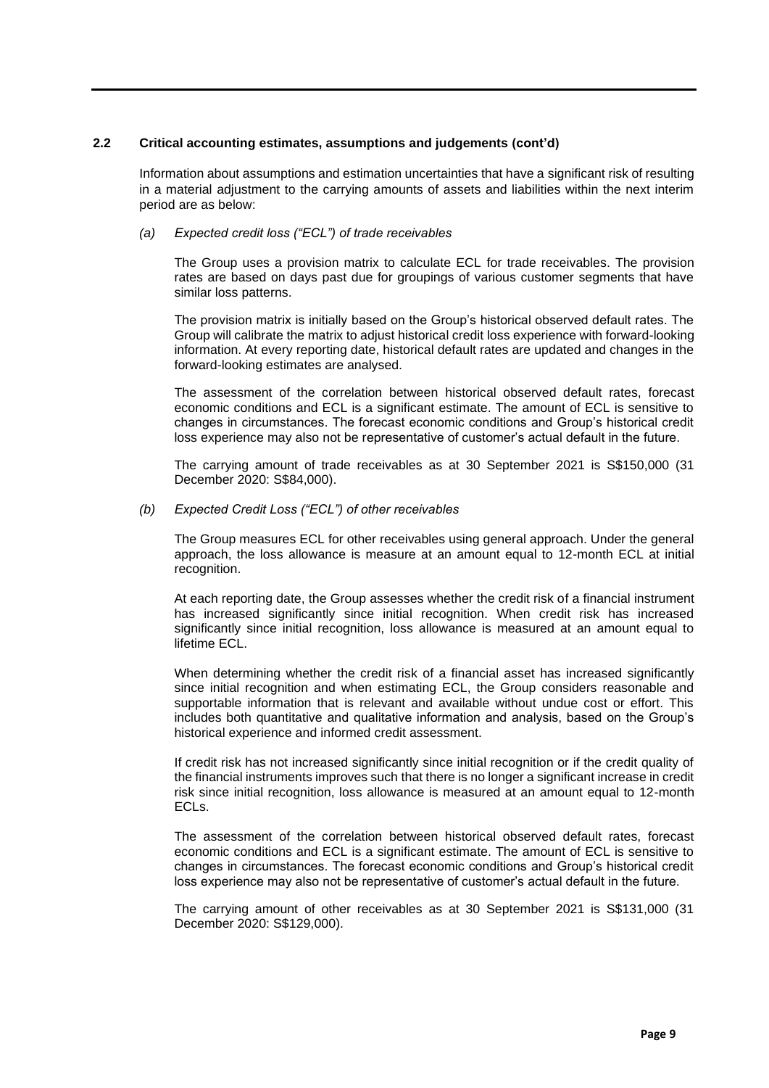## **2.2 Critical accounting estimates, assumptions and judgements (cont'd)**

Information about assumptions and estimation uncertainties that have a significant risk of resulting in a material adjustment to the carrying amounts of assets and liabilities within the next interim period are as below:

## *(a) Expected credit loss ("ECL") of trade receivables*

The Group uses a provision matrix to calculate ECL for trade receivables. The provision rates are based on days past due for groupings of various customer segments that have similar loss patterns.

The provision matrix is initially based on the Group's historical observed default rates. The Group will calibrate the matrix to adjust historical credit loss experience with forward-looking information. At every reporting date, historical default rates are updated and changes in the forward-looking estimates are analysed.

The assessment of the correlation between historical observed default rates, forecast economic conditions and ECL is a significant estimate. The amount of ECL is sensitive to changes in circumstances. The forecast economic conditions and Group's historical credit loss experience may also not be representative of customer's actual default in the future.

The carrying amount of trade receivables as at 30 September 2021 is S\$150,000 (31 December 2020: S\$84,000).

#### *(b) Expected Credit Loss ("ECL") of other receivables*

The Group measures ECL for other receivables using general approach. Under the general approach, the loss allowance is measure at an amount equal to 12-month ECL at initial recognition.

At each reporting date, the Group assesses whether the credit risk of a financial instrument has increased significantly since initial recognition. When credit risk has increased significantly since initial recognition, loss allowance is measured at an amount equal to lifetime ECL.

When determining whether the credit risk of a financial asset has increased significantly since initial recognition and when estimating ECL, the Group considers reasonable and supportable information that is relevant and available without undue cost or effort. This includes both quantitative and qualitative information and analysis, based on the Group's historical experience and informed credit assessment.

If credit risk has not increased significantly since initial recognition or if the credit quality of the financial instruments improves such that there is no longer a significant increase in credit risk since initial recognition, loss allowance is measured at an amount equal to 12-month ECLs.

The assessment of the correlation between historical observed default rates, forecast economic conditions and ECL is a significant estimate. The amount of ECL is sensitive to changes in circumstances. The forecast economic conditions and Group's historical credit loss experience may also not be representative of customer's actual default in the future.

The carrying amount of other receivables as at 30 September 2021 is S\$131,000 (31 December 2020: S\$129,000).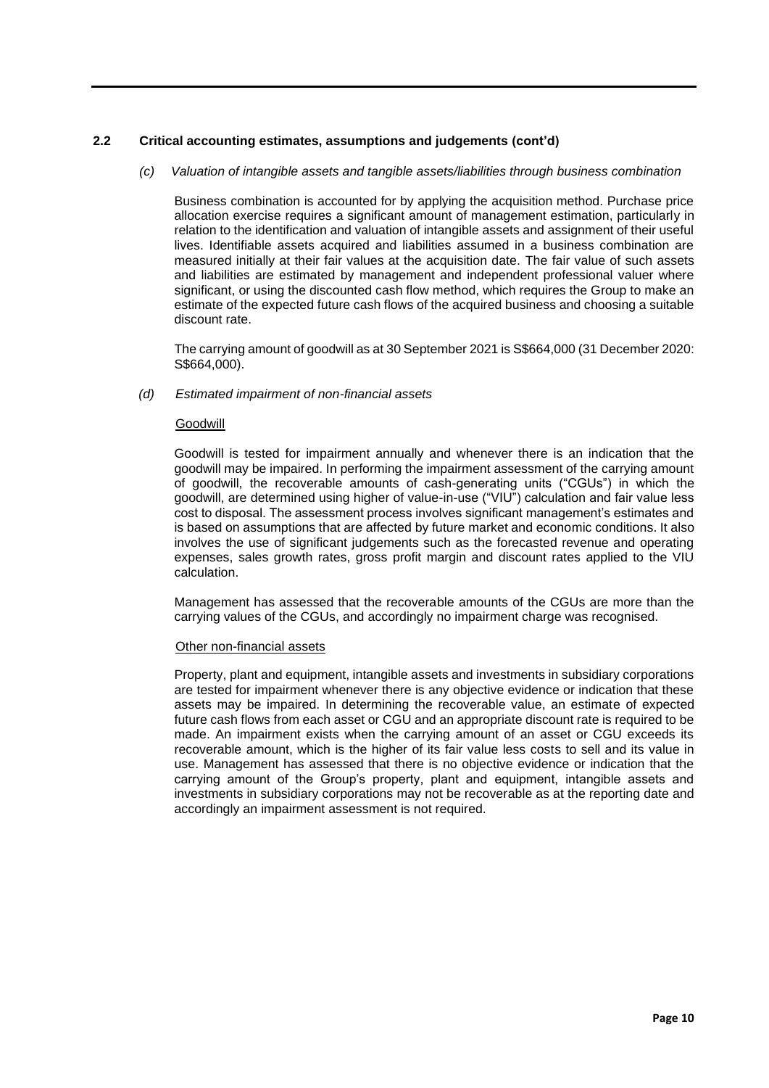## **2.2 Critical accounting estimates, assumptions and judgements (cont'd)**

## *(c) Valuation of intangible assets and tangible assets/liabilities through business combination*

Business combination is accounted for by applying the acquisition method. Purchase price allocation exercise requires a significant amount of management estimation, particularly in relation to the identification and valuation of intangible assets and assignment of their useful lives. Identifiable assets acquired and liabilities assumed in a business combination are measured initially at their fair values at the acquisition date. The fair value of such assets and liabilities are estimated by management and independent professional valuer where significant, or using the discounted cash flow method, which requires the Group to make an estimate of the expected future cash flows of the acquired business and choosing a suitable discount rate.

The carrying amount of goodwill as at 30 September 2021 is S\$664,000 (31 December 2020: S\$664,000).

#### *(d) Estimated impairment of non-financial assets*

#### Goodwill

Goodwill is tested for impairment annually and whenever there is an indication that the goodwill may be impaired. In performing the impairment assessment of the carrying amount of goodwill, the recoverable amounts of cash-generating units ("CGUs") in which the goodwill, are determined using higher of value-in-use ("VIU") calculation and fair value less cost to disposal. The assessment process involves significant management's estimates and is based on assumptions that are affected by future market and economic conditions. It also involves the use of significant judgements such as the forecasted revenue and operating expenses, sales growth rates, gross profit margin and discount rates applied to the VIU calculation.

Management has assessed that the recoverable amounts of the CGUs are more than the carrying values of the CGUs, and accordingly no impairment charge was recognised.

#### Other non-financial assets

Property, plant and equipment, intangible assets and investments in subsidiary corporations are tested for impairment whenever there is any objective evidence or indication that these assets may be impaired. In determining the recoverable value, an estimate of expected future cash flows from each asset or CGU and an appropriate discount rate is required to be made. An impairment exists when the carrying amount of an asset or CGU exceeds its recoverable amount, which is the higher of its fair value less costs to sell and its value in use. Management has assessed that there is no objective evidence or indication that the carrying amount of the Group's property, plant and equipment, intangible assets and investments in subsidiary corporations may not be recoverable as at the reporting date and accordingly an impairment assessment is not required.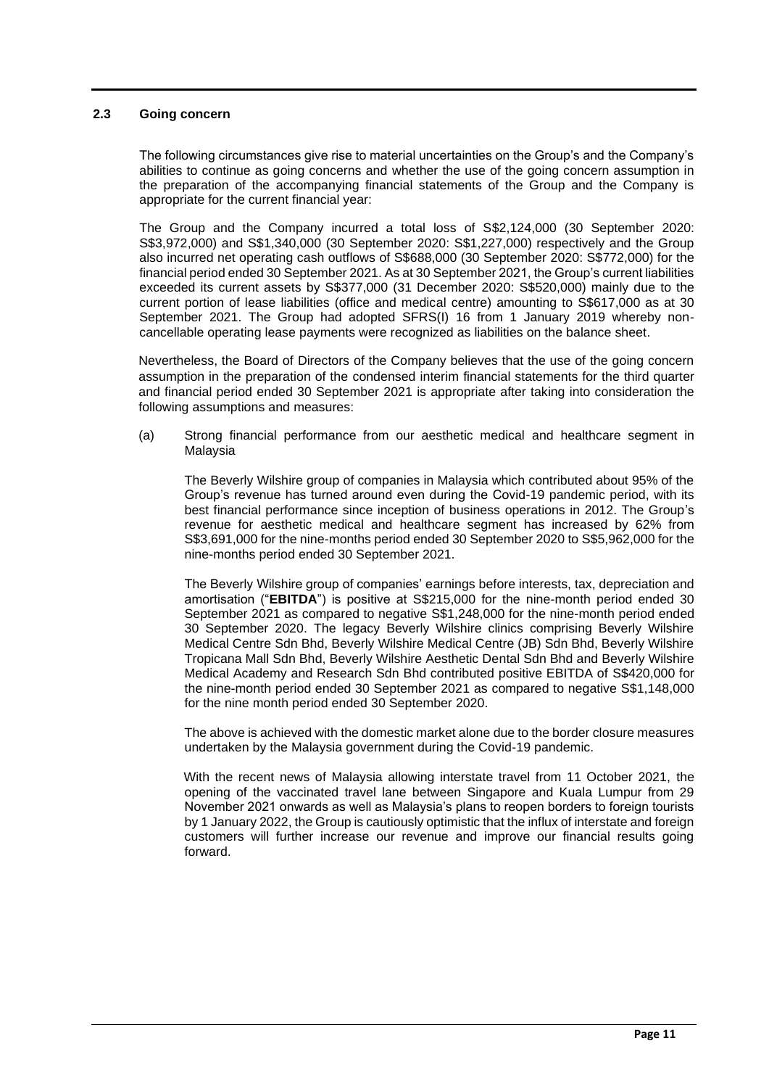## **2.3 Going concern**

The following circumstances give rise to material uncertainties on the Group's and the Company's abilities to continue as going concerns and whether the use of the going concern assumption in the preparation of the accompanying financial statements of the Group and the Company is appropriate for the current financial year:

The Group and the Company incurred a total loss of S\$2,124,000 (30 September 2020: S\$3,972,000) and S\$1,340,000 (30 September 2020: S\$1,227,000) respectively and the Group also incurred net operating cash outflows of S\$688,000 (30 September 2020: S\$772,000) for the financial period ended 30 September 2021. As at 30 September 2021, the Group's current liabilities exceeded its current assets by S\$377,000 (31 December 2020: S\$520,000) mainly due to the current portion of lease liabilities (office and medical centre) amounting to S\$617,000 as at 30 September 2021. The Group had adopted SFRS(I) 16 from 1 January 2019 whereby noncancellable operating lease payments were recognized as liabilities on the balance sheet.

Nevertheless, the Board of Directors of the Company believes that the use of the going concern assumption in the preparation of the condensed interim financial statements for the third quarter and financial period ended 30 September 2021 is appropriate after taking into consideration the following assumptions and measures:

(a) Strong financial performance from our aesthetic medical and healthcare segment in Malaysia

The Beverly Wilshire group of companies in Malaysia which contributed about 95% of the Group's revenue has turned around even during the Covid-19 pandemic period, with its best financial performance since inception of business operations in 2012. The Group's revenue for aesthetic medical and healthcare segment has increased by 62% from S\$3,691,000 for the nine-months period ended 30 September 2020 to S\$5,962,000 for the nine-months period ended 30 September 2021.

The Beverly Wilshire group of companies' earnings before interests, tax, depreciation and amortisation ("**EBITDA**") is positive at S\$215,000 for the nine-month period ended 30 September 2021 as compared to negative S\$1,248,000 for the nine-month period ended 30 September 2020. The legacy Beverly Wilshire clinics comprising Beverly Wilshire Medical Centre Sdn Bhd, Beverly Wilshire Medical Centre (JB) Sdn Bhd, Beverly Wilshire Tropicana Mall Sdn Bhd, Beverly Wilshire Aesthetic Dental Sdn Bhd and Beverly Wilshire Medical Academy and Research Sdn Bhd contributed positive EBITDA of S\$420,000 for the nine-month period ended 30 September 2021 as compared to negative S\$1,148,000 for the nine month period ended 30 September 2020.

The above is achieved with the domestic market alone due to the border closure measures undertaken by the Malaysia government during the Covid-19 pandemic.

With the recent news of Malaysia allowing interstate travel from 11 October 2021, the opening of the vaccinated travel lane between Singapore and Kuala Lumpur from 29 November 2021 onwards as well as Malaysia's plans to reopen borders to foreign tourists by 1 January 2022, the Group is cautiously optimistic that the influx of interstate and foreign customers will further increase our revenue and improve our financial results going forward.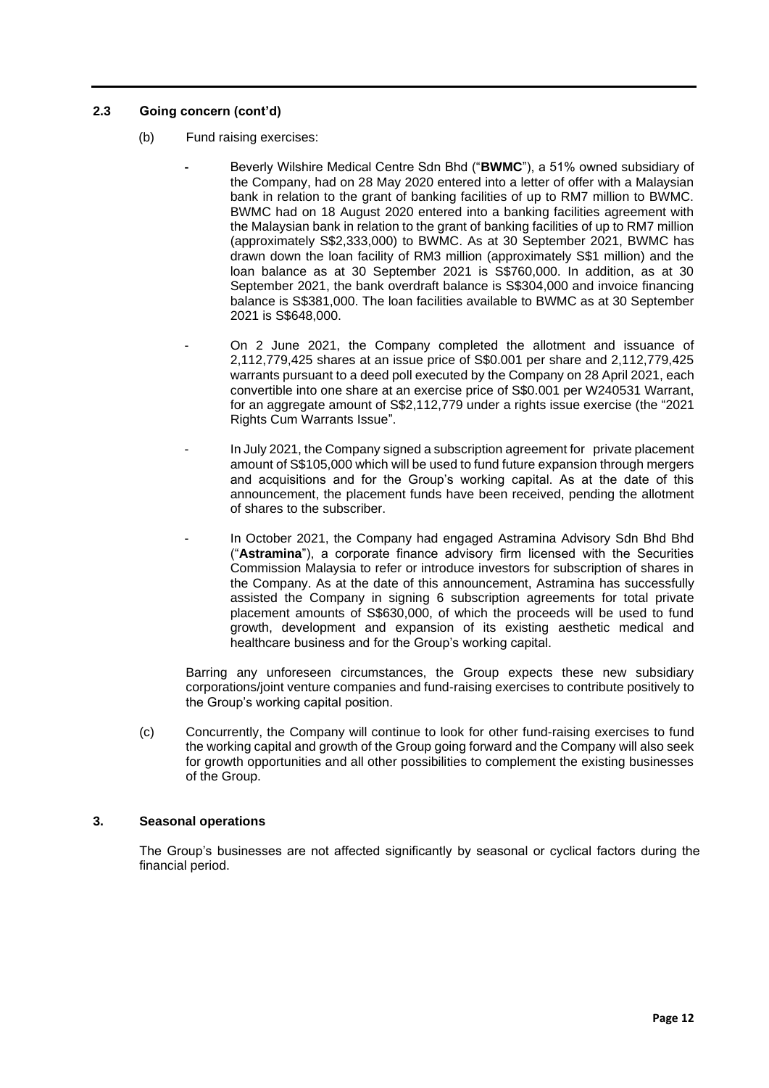## **2.3 Going concern (cont'd)**

- (b) Fund raising exercises:
	- **-** Beverly Wilshire Medical Centre Sdn Bhd ("**BWMC**"), a 51% owned subsidiary of the Company, had on 28 May 2020 entered into a letter of offer with a Malaysian bank in relation to the grant of banking facilities of up to RM7 million to BWMC. BWMC had on 18 August 2020 entered into a banking facilities agreement with the Malaysian bank in relation to the grant of banking facilities of up to RM7 million (approximately S\$2,333,000) to BWMC. As at 30 September 2021, BWMC has drawn down the loan facility of RM3 million (approximately S\$1 million) and the loan balance as at 30 September 2021 is S\$760,000. In addition, as at 30 September 2021, the bank overdraft balance is S\$304,000 and invoice financing balance is S\$381,000. The loan facilities available to BWMC as at 30 September 2021 is S\$648,000.
	- On 2 June 2021, the Company completed the allotment and issuance of 2,112,779,425 shares at an issue price of S\$0.001 per share and 2,112,779,425 warrants pursuant to a deed poll executed by the Company on 28 April 2021, each convertible into one share at an exercise price of S\$0.001 per W240531 Warrant, for an aggregate amount of S\$2,112,779 under a rights issue exercise (the "2021 Rights Cum Warrants Issue".
	- In July 2021, the Company signed a subscription agreement for private placement amount of S\$105,000 which will be used to fund future expansion through mergers and acquisitions and for the Group's working capital. As at the date of this announcement, the placement funds have been received, pending the allotment of shares to the subscriber.
	- In October 2021, the Company had engaged Astramina Advisory Sdn Bhd Bhd ("**Astramina**"), a corporate finance advisory firm licensed with the Securities Commission Malaysia to refer or introduce investors for subscription of shares in the Company. As at the date of this announcement, Astramina has successfully assisted the Company in signing 6 subscription agreements for total private placement amounts of S\$630,000, of which the proceeds will be used to fund growth, development and expansion of its existing aesthetic medical and healthcare business and for the Group's working capital.

Barring any unforeseen circumstances, the Group expects these new subsidiary corporations/joint venture companies and fund-raising exercises to contribute positively to the Group's working capital position.

(c) Concurrently, the Company will continue to look for other fund-raising exercises to fund the working capital and growth of the Group going forward and the Company will also seek for growth opportunities and all other possibilities to complement the existing businesses of the Group.

## **3. Seasonal operations**

The Group's businesses are not affected significantly by seasonal or cyclical factors during the financial period.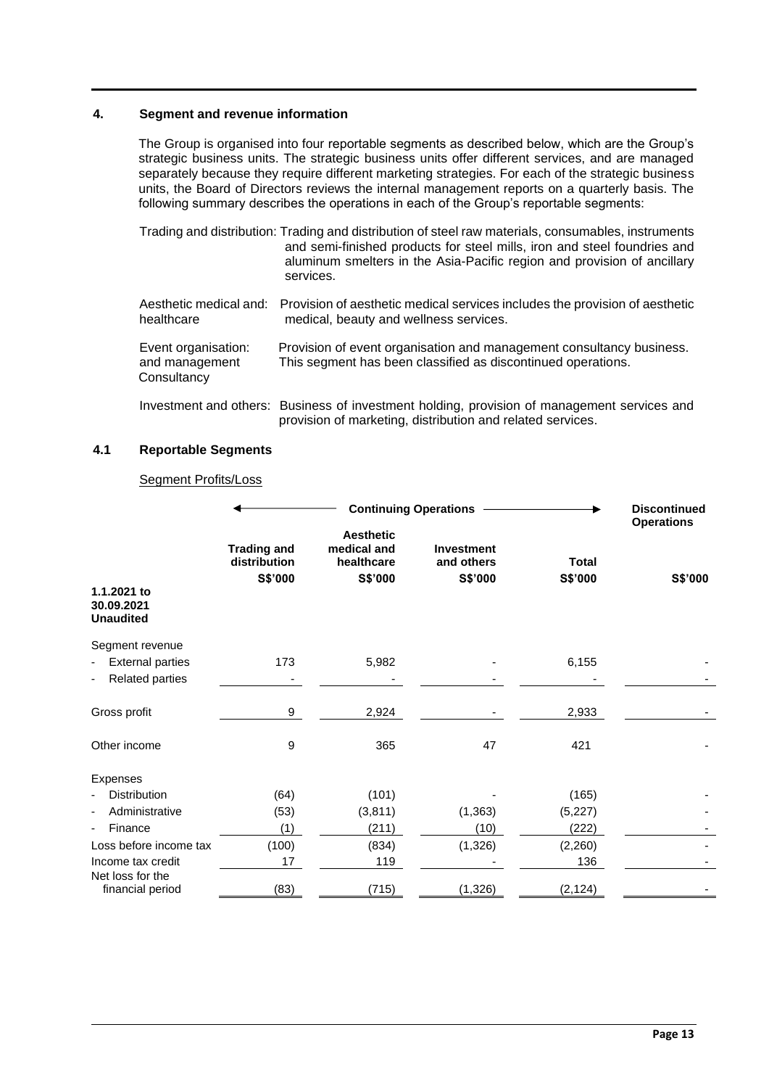## **4. Segment and revenue information**

The Group is organised into four reportable segments as described below, which are the Group's strategic business units. The strategic business units offer different services, and are managed separately because they require different marketing strategies. For each of the strategic business units, the Board of Directors reviews the internal management reports on a quarterly basis. The following summary describes the operations in each of the Group's reportable segments:

|                                                      | Trading and distribution: Trading and distribution of steel raw materials, consumables, instruments<br>and semi-finished products for steel mills, iron and steel foundries and<br>aluminum smelters in the Asia-Pacific region and provision of ancillary<br>services. |
|------------------------------------------------------|-------------------------------------------------------------------------------------------------------------------------------------------------------------------------------------------------------------------------------------------------------------------------|
| healthcare                                           | Aesthetic medical and: Provision of aesthetic medical services includes the provision of aesthetic<br>medical, beauty and wellness services.                                                                                                                            |
| Event organisation:<br>and management<br>Consultancy | Provision of event organisation and management consultancy business.<br>This segment has been classified as discontinued operations.                                                                                                                                    |
|                                                      |                                                                                                                                                                                                                                                                         |

Investment and others: Business of investment holding, provision of management services and provision of marketing, distribution and related services.

## **4.1 Reportable Segments**

## Segment Profits/Loss

|                                               |                                               | <b>Continuing Operations</b>                             |                                            |                         | <b>Discontinued</b><br><b>Operations</b> |  |
|-----------------------------------------------|-----------------------------------------------|----------------------------------------------------------|--------------------------------------------|-------------------------|------------------------------------------|--|
|                                               | <b>Trading and</b><br>distribution<br>S\$'000 | <b>Aesthetic</b><br>medical and<br>healthcare<br>S\$'000 | <b>Investment</b><br>and others<br>S\$'000 | <b>Total</b><br>S\$'000 | S\$'000                                  |  |
| 1.1.2021 to<br>30.09.2021<br><b>Unaudited</b> |                                               |                                                          |                                            |                         |                                          |  |
| Segment revenue                               |                                               |                                                          |                                            |                         |                                          |  |
| <b>External parties</b>                       | 173                                           | 5,982                                                    |                                            | 6,155                   |                                          |  |
| <b>Related parties</b>                        |                                               |                                                          |                                            |                         |                                          |  |
| Gross profit                                  | 9                                             | 2,924                                                    |                                            | 2,933                   |                                          |  |
| Other income                                  | 9                                             | 365                                                      | 47                                         | 421                     |                                          |  |
| Expenses                                      |                                               |                                                          |                                            |                         |                                          |  |
| <b>Distribution</b>                           | (64)                                          | (101)                                                    |                                            | (165)                   |                                          |  |
| Administrative                                | (53)                                          | (3,811)                                                  | (1, 363)                                   | (5,227)                 |                                          |  |
| Finance                                       | (1)                                           | (211)                                                    | (10)                                       | (222)                   |                                          |  |
| Loss before income tax                        | (100)                                         | (834)                                                    | (1, 326)                                   | (2,260)                 |                                          |  |
| Income tax credit                             | 17                                            | 119                                                      |                                            | 136                     |                                          |  |
| Net loss for the                              |                                               |                                                          |                                            |                         |                                          |  |
| financial period                              | (83)                                          | (715)                                                    | (1, 326)                                   | (2, 124)                |                                          |  |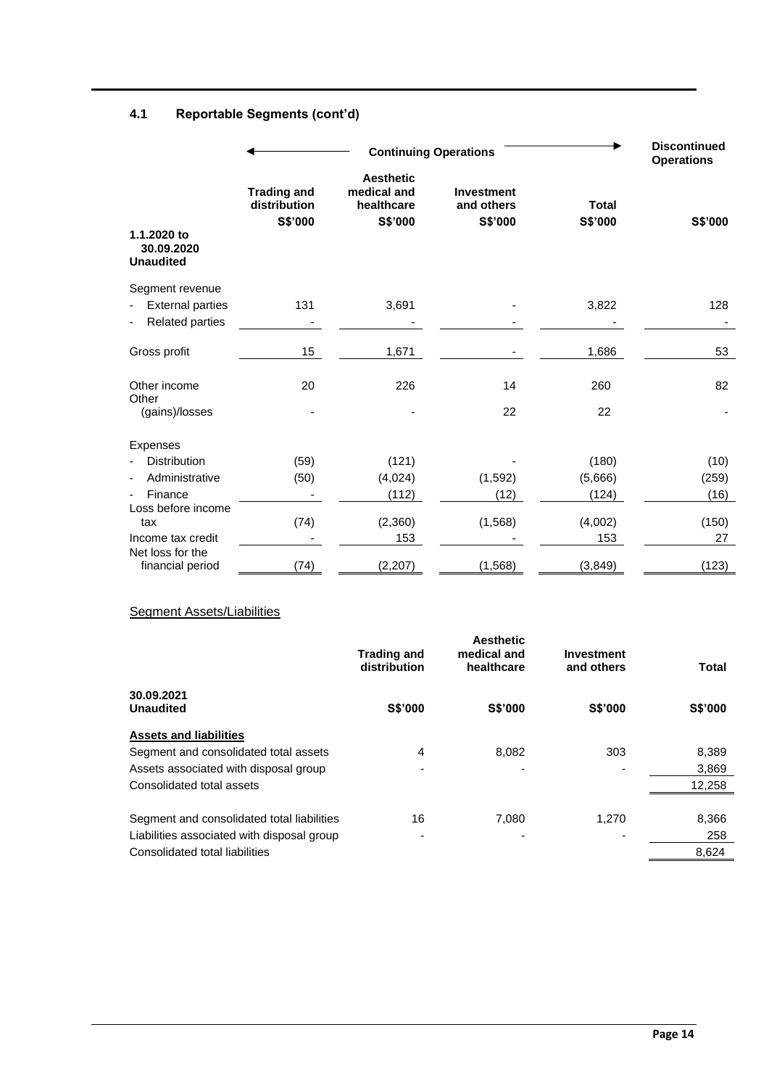# **4.1 Reportable Segments (cont'd)**

|                                                                      |                                               | <b>Continuing Operations</b>                             |                                     |                           |                       |  |
|----------------------------------------------------------------------|-----------------------------------------------|----------------------------------------------------------|-------------------------------------|---------------------------|-----------------------|--|
| 1.1.2020 to<br>30.09.2020<br><b>Unaudited</b>                        | <b>Trading and</b><br>distribution<br>S\$'000 | <b>Aesthetic</b><br>medical and<br>healthcare<br>S\$'000 | Investment<br>and others<br>S\$'000 | <b>Total</b><br>S\$'000   | S\$'000               |  |
| Segment revenue<br><b>External parties</b><br><b>Related parties</b> | 131                                           | 3,691                                                    |                                     | 3,822                     | 128                   |  |
| Gross profit                                                         | 15                                            | 1,671                                                    |                                     | 1,686                     | 53                    |  |
| Other income<br>Other<br>(gains)/losses                              | 20                                            | 226                                                      | 14<br>22                            | 260<br>22                 | 82                    |  |
| <b>Expenses</b>                                                      |                                               |                                                          |                                     |                           |                       |  |
| <b>Distribution</b><br>Administrative<br>Finance                     | (59)<br>(50)                                  | (121)<br>(4,024)<br>(112)                                | (1, 592)<br>(12)                    | (180)<br>(5,666)<br>(124) | (10)<br>(259)<br>(16) |  |
| Loss before income<br>tax<br>Income tax credit                       | (74)                                          | (2,360)<br>153                                           | (1, 568)                            | (4,002)<br>153            | (150)<br>27           |  |
| Net loss for the<br>financial period                                 | (74)                                          | (2, 207)                                                 | (1, 568)                            | (3, 849)                  | (123)                 |  |

## **Segment Assets/Liabilities**

|                                            | <b>Trading and</b><br>distribution | <b>Aesthetic</b><br>medical and<br>healthcare | Investment<br>and others | <b>Total</b>   |
|--------------------------------------------|------------------------------------|-----------------------------------------------|--------------------------|----------------|
| 30.09.2021<br><b>Unaudited</b>             | <b>S\$'000</b>                     | <b>S\$'000</b>                                | <b>S\$'000</b>           | <b>S\$'000</b> |
| <b>Assets and liabilities</b>              |                                    |                                               |                          |                |
| Segment and consolidated total assets      | 4                                  | 8,082                                         | 303                      | 8,389          |
| Assets associated with disposal group      | $\overline{\phantom{0}}$           |                                               |                          | 3,869          |
| Consolidated total assets                  |                                    |                                               |                          | 12,258         |
| Segment and consolidated total liabilities | 16                                 | 7.080                                         | 1.270                    | 8,366          |
| Liabilities associated with disposal group | ۰                                  |                                               |                          | 258            |
| Consolidated total liabilities             |                                    |                                               |                          | 8,624          |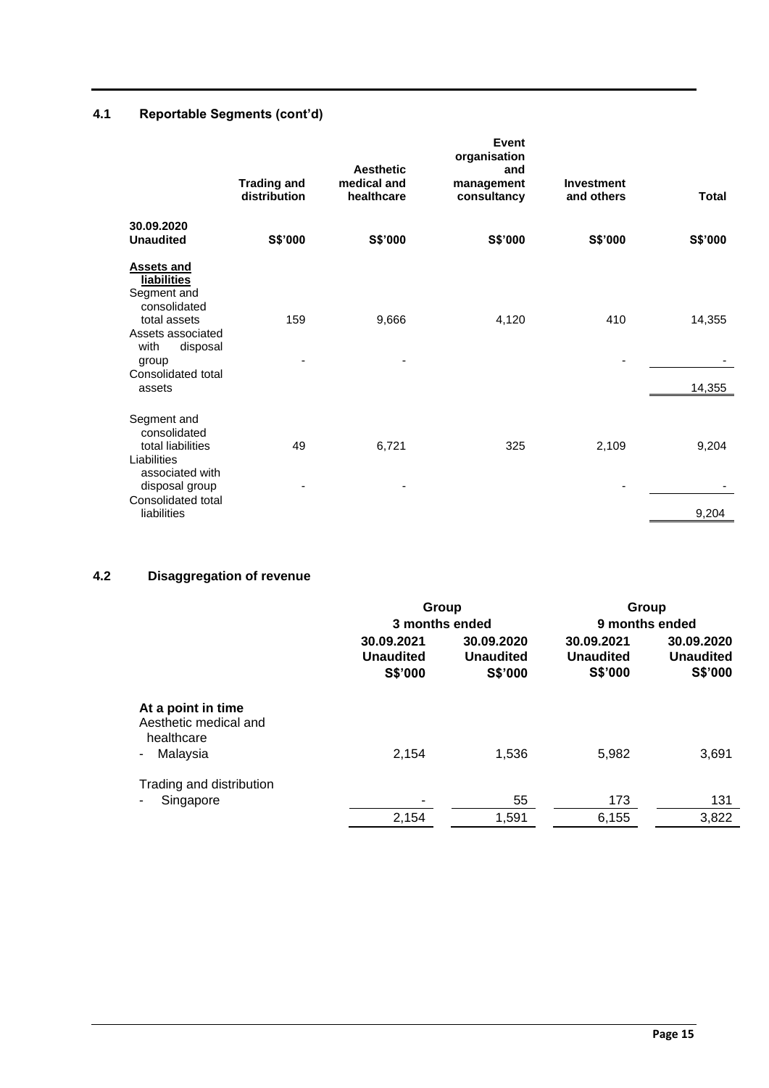# **4.1 Reportable Segments (cont'd)**

|                                                                                                                                                                          | <b>Trading and</b><br>distribution | <b>Aesthetic</b><br>medical and<br>healthcare | Event<br>organisation<br>and<br>management<br>consultancy | <b>Investment</b><br>and others | <b>Total</b>     |
|--------------------------------------------------------------------------------------------------------------------------------------------------------------------------|------------------------------------|-----------------------------------------------|-----------------------------------------------------------|---------------------------------|------------------|
| 30.09.2020<br><b>Unaudited</b>                                                                                                                                           | S\$'000                            | S\$'000                                       | S\$'000                                                   | S\$'000                         | S\$'000          |
| <b>Assets and</b><br><b>liabilities</b><br>Segment and<br>consolidated<br>total assets<br>Assets associated<br>with<br>disposal<br>group<br>Consolidated total<br>assets | 159                                | 9,666                                         | 4,120                                                     | 410                             | 14,355<br>14,355 |
| Segment and<br>consolidated<br>total liabilities<br>Liabilities<br>associated with<br>disposal group<br>Consolidated total<br>liabilities                                | 49                                 | 6,721                                         | 325                                                       | 2,109                           | 9,204<br>9,204   |

# **4.2 Disaggregation of revenue**

|                                                                       | Group                                            |                                           | Group                                     |                                           |  |
|-----------------------------------------------------------------------|--------------------------------------------------|-------------------------------------------|-------------------------------------------|-------------------------------------------|--|
|                                                                       | 3 months ended                                   |                                           |                                           | 9 months ended                            |  |
|                                                                       | 30.09.2021<br><b>Unaudited</b><br><b>S\$'000</b> | 30.09.2020<br><b>Unaudited</b><br>S\$'000 | 30.09.2021<br><b>Unaudited</b><br>S\$'000 | 30.09.2020<br><b>Unaudited</b><br>S\$'000 |  |
| At a point in time<br>Aesthetic medical and<br>healthcare<br>Malaysia | 2,154                                            | 1,536                                     | 5,982                                     | 3,691                                     |  |
| Trading and distribution<br>Singapore                                 |                                                  | 55                                        | 173                                       | 131                                       |  |
|                                                                       | 2,154                                            | 1,591                                     | 6,155                                     | 3,822                                     |  |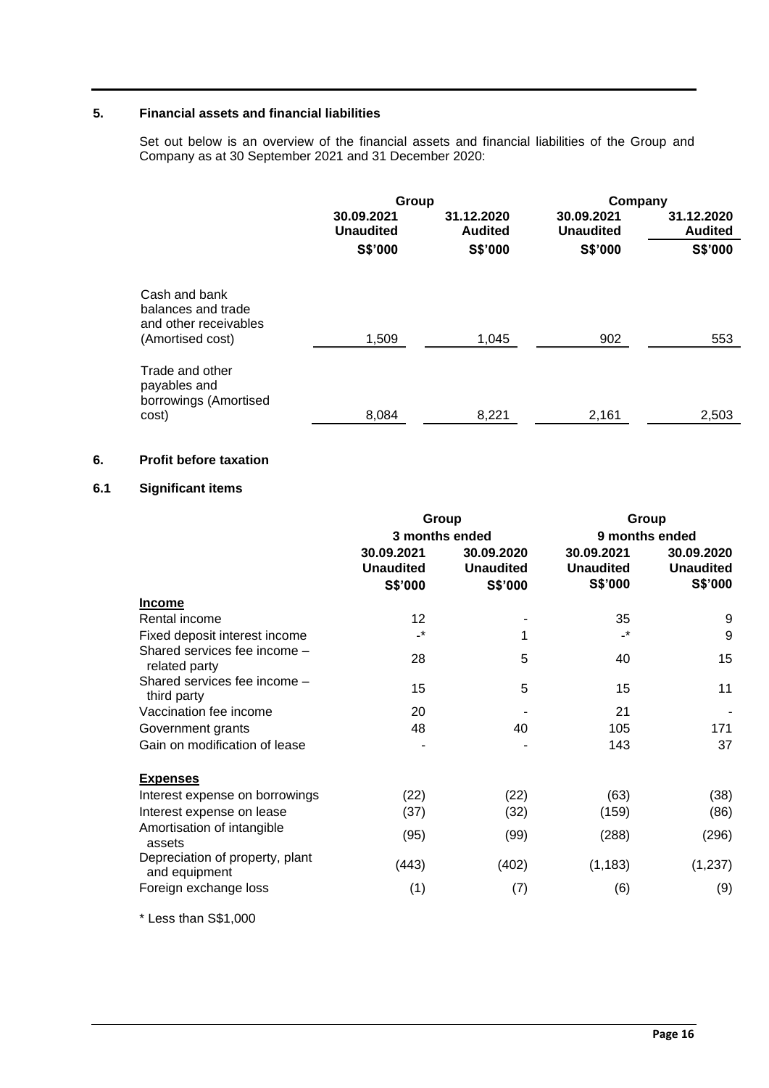## **5. Financial assets and financial liabilities**

Set out below is an overview of the financial assets and financial liabilities of the Group and Company as at 30 September 2021 and 31 December 2020:

|                                                                                  | Group                          |                              | Company                        |                              |
|----------------------------------------------------------------------------------|--------------------------------|------------------------------|--------------------------------|------------------------------|
|                                                                                  | 30.09.2021<br><b>Unaudited</b> | 31.12.2020<br><b>Audited</b> | 30.09.2021<br><b>Unaudited</b> | 31.12.2020<br><b>Audited</b> |
|                                                                                  | <b>S\$'000</b>                 | <b>S\$'000</b>               | <b>S\$'000</b>                 | S\$'000                      |
| Cash and bank<br>balances and trade<br>and other receivables<br>(Amortised cost) | 1,509                          | 1,045                        | 902                            | 553                          |
| Trade and other<br>payables and<br>borrowings (Amortised                         |                                |                              |                                |                              |
| cost)                                                                            | 8,084                          | 8,221                        | 2,161                          | 2,503                        |

## **6. Profit before taxation**

## **6.1 Significant items**

|                                                  | Group                                                       |                                           |                                                             | Group                                     |  |
|--------------------------------------------------|-------------------------------------------------------------|-------------------------------------------|-------------------------------------------------------------|-------------------------------------------|--|
|                                                  | 3 months ended<br>30.09.2021<br><b>Unaudited</b><br>S\$'000 | 30.09.2020<br><b>Unaudited</b><br>S\$'000 | 9 months ended<br>30.09.2021<br><b>Unaudited</b><br>S\$'000 | 30.09.2020<br><b>Unaudited</b><br>S\$'000 |  |
| <b>Income</b>                                    |                                                             |                                           |                                                             |                                           |  |
| Rental income                                    | $12 \overline{ }$                                           |                                           | 35                                                          | 9                                         |  |
| Fixed deposit interest income                    | $\overline{\phantom{a}}$                                    | 1                                         | $\cdot^*$                                                   | 9                                         |  |
| Shared services fee income -<br>related party    | 28                                                          | 5                                         | 40                                                          | 15                                        |  |
| Shared services fee income -<br>third party      | 15                                                          | 5                                         | 15                                                          | 11                                        |  |
| Vaccination fee income                           | 20                                                          |                                           | 21                                                          |                                           |  |
| Government grants                                | 48                                                          | 40                                        | 105                                                         | 171                                       |  |
| Gain on modification of lease                    |                                                             |                                           | 143                                                         | 37                                        |  |
| <b>Expenses</b>                                  |                                                             |                                           |                                                             |                                           |  |
| Interest expense on borrowings                   | (22)                                                        | (22)                                      | (63)                                                        | (38)                                      |  |
| Interest expense on lease                        | (37)                                                        | (32)                                      | (159)                                                       | (86)                                      |  |
| Amortisation of intangible<br>assets             | (95)                                                        | (99)                                      | (288)                                                       | (296)                                     |  |
| Depreciation of property, plant<br>and equipment | (443)                                                       | (402)                                     | (1, 183)                                                    | (1,237)                                   |  |
| Foreign exchange loss                            | (1)                                                         | (7)                                       | (6)                                                         | (9)                                       |  |

\* Less than S\$1,000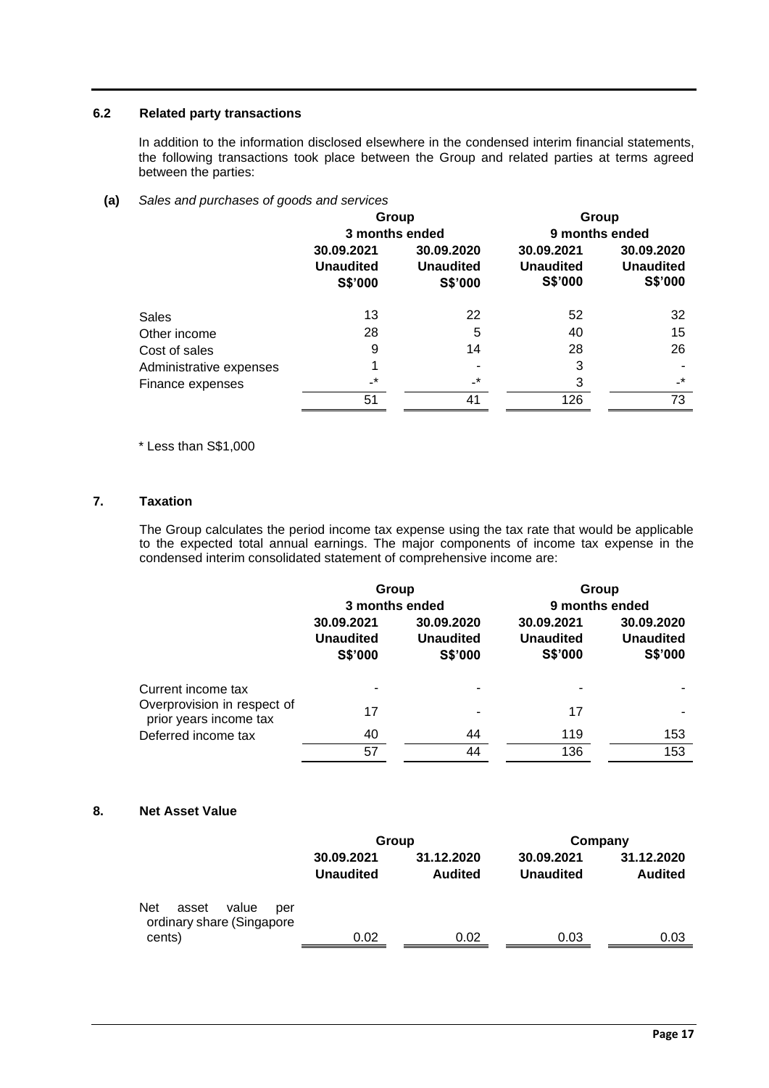## **6.2 Related party transactions**

In addition to the information disclosed elsewhere in the condensed interim financial statements, the following transactions took place between the Group and related parties at terms agreed between the parties:

## **(a)** *Sales and purchases of goods and services*

|                         | Group<br>3 months ended                   |                                           | Group<br>9 months ended                   |                                           |
|-------------------------|-------------------------------------------|-------------------------------------------|-------------------------------------------|-------------------------------------------|
|                         | 30.09.2021<br><b>Unaudited</b><br>S\$'000 | 30.09.2020<br><b>Unaudited</b><br>S\$'000 | 30.09.2021<br><b>Unaudited</b><br>S\$'000 | 30.09.2020<br><b>Unaudited</b><br>S\$'000 |
| Sales                   | 13                                        | 22                                        | 52                                        | 32                                        |
| Other income            | 28                                        | 5                                         | 40                                        | 15                                        |
| Cost of sales           | 9                                         | 14                                        | 28                                        | 26                                        |
| Administrative expenses |                                           |                                           | 3                                         |                                           |
| Finance expenses        | $-$ *                                     | -*                                        | 3                                         | $\cdot^*$                                 |
|                         | 51                                        | 41                                        | 126                                       | 73                                        |

\* Less than S\$1,000

## **7. Taxation**

The Group calculates the period income tax expense using the tax rate that would be applicable to the expected total annual earnings. The major components of income tax expense in the condensed interim consolidated statement of comprehensive income are:

|                                                                             | Group<br>3 months ended                          |                                                  | Group<br>9 months ended                   |                                           |
|-----------------------------------------------------------------------------|--------------------------------------------------|--------------------------------------------------|-------------------------------------------|-------------------------------------------|
|                                                                             | 30.09.2021<br><b>Unaudited</b><br><b>S\$'000</b> | 30.09.2020<br><b>Unaudited</b><br><b>S\$'000</b> | 30.09.2021<br><b>Unaudited</b><br>S\$'000 | 30.09.2020<br><b>Unaudited</b><br>S\$'000 |
| Current income tax<br>Overprovision in respect of<br>prior years income tax | 17                                               |                                                  | 17                                        |                                           |
| Deferred income tax                                                         | 40                                               | 44                                               | 119                                       | 153                                       |
|                                                                             | 57                                               | 44                                               | 136                                       | 153                                       |

## **8. Net Asset Value**

|                                                                            | Group                          |                              | Company                        |                              |
|----------------------------------------------------------------------------|--------------------------------|------------------------------|--------------------------------|------------------------------|
|                                                                            | 30.09.2021<br><b>Unaudited</b> | 31.12.2020<br><b>Audited</b> | 30.09.2021<br><b>Unaudited</b> | 31.12.2020<br><b>Audited</b> |
| <b>Net</b><br>value<br>asset<br>per<br>ordinary share (Singapore<br>cents) | 0.02                           | 0.02                         | 0.03                           | 0.03                         |
|                                                                            |                                |                              |                                |                              |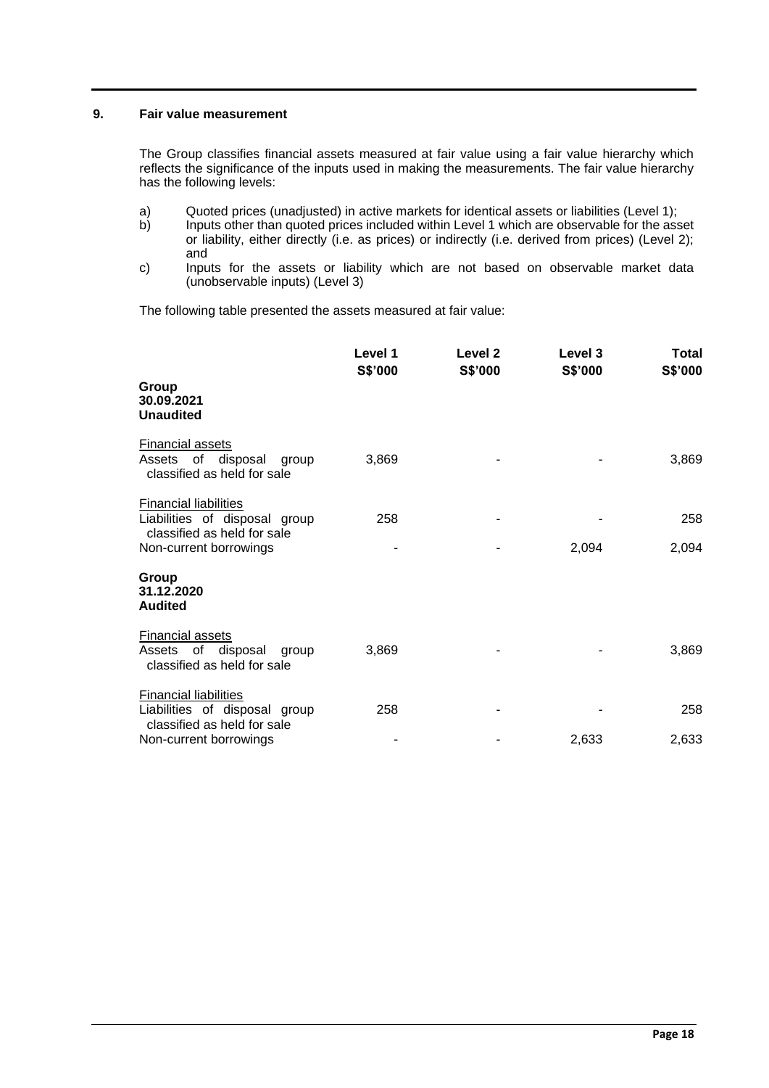## **9. Fair value measurement**

The Group classifies financial assets measured at fair value using a fair value hierarchy which reflects the significance of the inputs used in making the measurements. The fair value hierarchy has the following levels:

- a) Quoted prices (unadjusted) in active markets for identical assets or liabilities (Level 1);<br>b) lnputs other than quoted prices included within Level 1 which are observable for the ass
- Inputs other than quoted prices included within Level 1 which are observable for the asset or liability, either directly (i.e. as prices) or indirectly (i.e. derived from prices) (Level 2); and
- c) Inputs for the assets or liability which are not based on observable market data (unobservable inputs) (Level 3)

The following table presented the assets measured at fair value:

|                                                                                              | Level 1<br>S\$'000 | Level <sub>2</sub><br>S\$'000 | Level 3<br>S\$'000 | Total<br>S\$'000 |
|----------------------------------------------------------------------------------------------|--------------------|-------------------------------|--------------------|------------------|
| Group<br>30.09.2021<br><b>Unaudited</b>                                                      |                    |                               |                    |                  |
| <b>Financial assets</b><br>of disposal<br>Assets<br>group<br>classified as held for sale     | 3,869              |                               |                    | 3,869            |
| <b>Financial liabilities</b><br>Liabilities of disposal group<br>classified as held for sale | 258                |                               |                    | 258              |
| Non-current borrowings                                                                       |                    |                               | 2,094              | 2,094            |
| Group<br>31.12.2020<br><b>Audited</b>                                                        |                    |                               |                    |                  |
| <b>Financial assets</b><br>of<br>disposal<br>Assets<br>group<br>classified as held for sale  | 3,869              |                               |                    | 3,869            |
| <b>Financial liabilities</b><br>Liabilities of disposal group<br>classified as held for sale | 258                |                               |                    | 258              |
| Non-current borrowings                                                                       |                    |                               | 2,633              | 2,633            |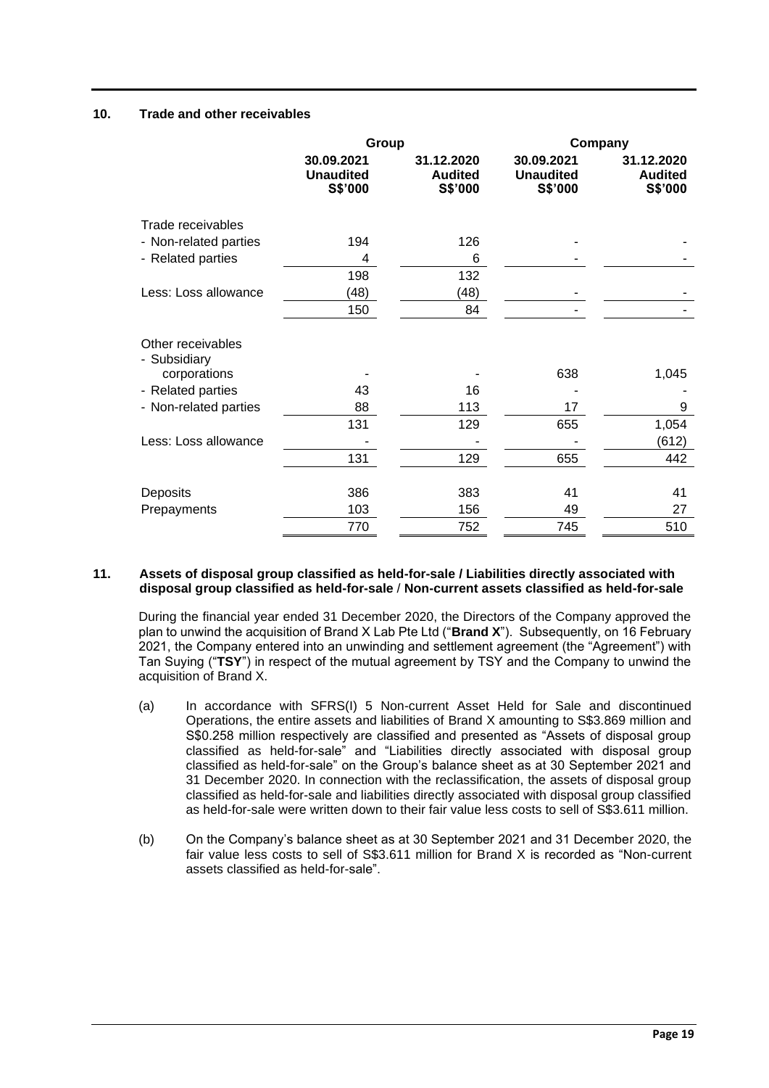## **10. Trade and other receivables**

|                                   | Group                                     |                                         | Company                                   |                                         |  |
|-----------------------------------|-------------------------------------------|-----------------------------------------|-------------------------------------------|-----------------------------------------|--|
|                                   | 30.09.2021<br><b>Unaudited</b><br>S\$'000 | 31.12.2020<br><b>Audited</b><br>S\$'000 | 30.09.2021<br><b>Unaudited</b><br>S\$'000 | 31.12.2020<br><b>Audited</b><br>S\$'000 |  |
| Trade receivables                 |                                           |                                         |                                           |                                         |  |
| - Non-related parties             | 194                                       | 126                                     |                                           |                                         |  |
| - Related parties                 | 4                                         | 6                                       |                                           |                                         |  |
|                                   | 198                                       | 132                                     |                                           |                                         |  |
| Less: Loss allowance              | (48)                                      | (48)                                    |                                           |                                         |  |
|                                   | 150                                       | 84                                      |                                           |                                         |  |
| Other receivables<br>- Subsidiary |                                           |                                         |                                           |                                         |  |
| corporations                      |                                           |                                         | 638                                       | 1,045                                   |  |
| - Related parties                 | 43                                        | 16                                      |                                           |                                         |  |
| - Non-related parties             | 88                                        | 113                                     | 17                                        | 9                                       |  |
|                                   | 131                                       | 129                                     | 655                                       | 1,054                                   |  |
| Less: Loss allowance              |                                           |                                         |                                           | (612)                                   |  |
|                                   | 131                                       | 129                                     | 655                                       | 442                                     |  |
| Deposits                          | 386                                       | 383                                     | 41                                        | 41                                      |  |
| Prepayments                       | 103                                       | 156                                     | 49                                        | 27                                      |  |
|                                   | 770                                       | 752                                     | 745                                       | 510                                     |  |

#### **11. Assets of disposal group classified as held-for-sale / Liabilities directly associated with disposal group classified as held-for-sale** / **Non-current assets classified as held-for-sale**

During the financial year ended 31 December 2020, the Directors of the Company approved the plan to unwind the acquisition of Brand X Lab Pte Ltd ("**Brand X**"). Subsequently, on 16 February 2021, the Company entered into an unwinding and settlement agreement (the "Agreement") with Tan Suying ("**TSY**") in respect of the mutual agreement by TSY and the Company to unwind the acquisition of Brand X.

- (a) In accordance with SFRS(I) 5 Non-current Asset Held for Sale and discontinued Operations, the entire assets and liabilities of Brand X amounting to S\$3.869 million and S\$0.258 million respectively are classified and presented as "Assets of disposal group classified as held-for-sale" and "Liabilities directly associated with disposal group classified as held-for-sale" on the Group's balance sheet as at 30 September 2021 and 31 December 2020. In connection with the reclassification, the assets of disposal group classified as held-for-sale and liabilities directly associated with disposal group classified as held-for-sale were written down to their fair value less costs to sell of S\$3.611 million.
- (b) On the Company's balance sheet as at 30 September 2021 and 31 December 2020, the fair value less costs to sell of S\$3.611 million for Brand X is recorded as "Non-current assets classified as held-for-sale".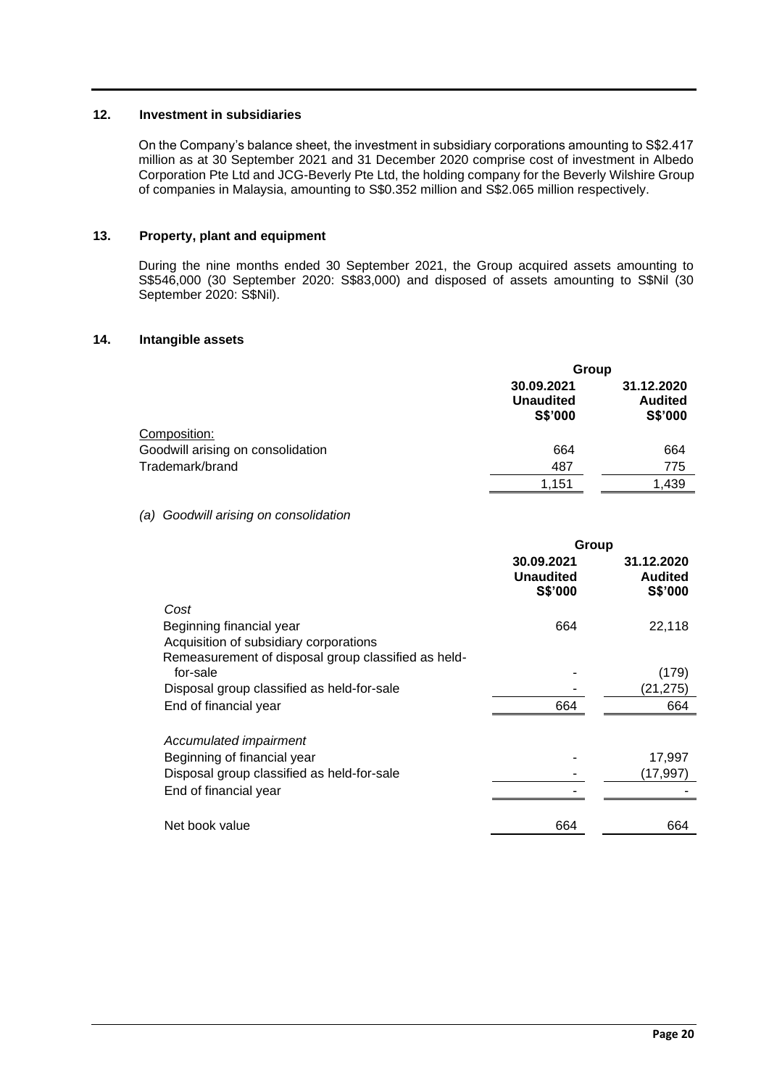## **12. Investment in subsidiaries**

On the Company's balance sheet, the investment in subsidiary corporations amounting to S\$2.417 million as at 30 September 2021 and 31 December 2020 comprise cost of investment in Albedo Corporation Pte Ltd and JCG-Beverly Pte Ltd, the holding company for the Beverly Wilshire Group of companies in Malaysia, amounting to S\$0.352 million and S\$2.065 million respectively.

## **13. Property, plant and equipment**

During the nine months ended 30 September 2021, the Group acquired assets amounting to S\$546,000 (30 September 2020: S\$83,000) and disposed of assets amounting to S\$Nil (30 September 2020: S\$Nil).

## **14. Intangible assets**

|                                   | Group                                     |                                         |  |
|-----------------------------------|-------------------------------------------|-----------------------------------------|--|
|                                   | 30.09.2021<br><b>Unaudited</b><br>S\$'000 | 31.12.2020<br><b>Audited</b><br>S\$'000 |  |
| Composition:                      |                                           |                                         |  |
| Goodwill arising on consolidation | 664                                       | 664                                     |  |
| Trademark/brand                   | 487                                       | 775                                     |  |
|                                   | 1,151                                     | 1,439                                   |  |

## *(a) Goodwill arising on consolidation*

|                                                     | Group                                            |                                                |  |
|-----------------------------------------------------|--------------------------------------------------|------------------------------------------------|--|
|                                                     | 30.09.2021<br><b>Unaudited</b><br><b>S\$'000</b> | 31.12.2020<br><b>Audited</b><br><b>S\$'000</b> |  |
| Cost                                                |                                                  |                                                |  |
| Beginning financial year                            | 664                                              | 22,118                                         |  |
| Acquisition of subsidiary corporations              |                                                  |                                                |  |
| Remeasurement of disposal group classified as held- |                                                  |                                                |  |
| for-sale                                            |                                                  | (179)                                          |  |
| Disposal group classified as held-for-sale          |                                                  | (21,275)                                       |  |
| End of financial year                               | 664                                              | 664                                            |  |
| Accumulated impairment                              |                                                  |                                                |  |
| Beginning of financial year                         |                                                  | 17,997                                         |  |
| Disposal group classified as held-for-sale          |                                                  | (17,997                                        |  |
| End of financial year                               |                                                  |                                                |  |
| Net book value                                      | 664                                              | 664                                            |  |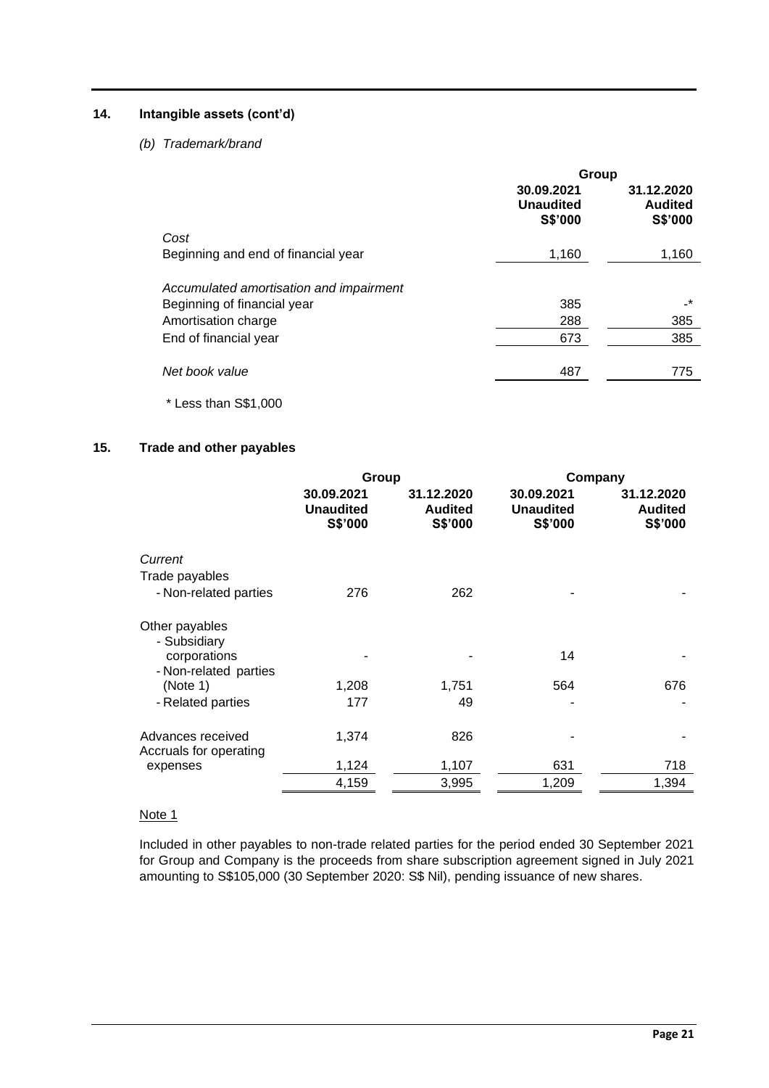## **14. Intangible assets (cont'd)**

## *(b) Trademark/brand*

|                                         | Group                                     |                                         |  |
|-----------------------------------------|-------------------------------------------|-----------------------------------------|--|
|                                         | 30.09.2021<br><b>Unaudited</b><br>S\$'000 | 31.12.2020<br><b>Audited</b><br>S\$'000 |  |
| Cost                                    |                                           |                                         |  |
| Beginning and end of financial year     | 1,160                                     | 1,160                                   |  |
| Accumulated amortisation and impairment |                                           |                                         |  |
| Beginning of financial year             | 385                                       | _*                                      |  |
| Amortisation charge                     | 288                                       | 385                                     |  |
| End of financial year                   | 673                                       | 385                                     |  |
| Net book value                          | 487                                       | 775                                     |  |
| * Less than S\$1,000                    |                                           |                                         |  |

## **15. Trade and other payables**

|                                                | Group                                     |                                         | Company                                   |                                         |  |
|------------------------------------------------|-------------------------------------------|-----------------------------------------|-------------------------------------------|-----------------------------------------|--|
|                                                | 30.09.2021<br><b>Unaudited</b><br>S\$'000 | 31.12.2020<br><b>Audited</b><br>S\$'000 | 30.09.2021<br><b>Unaudited</b><br>S\$'000 | 31.12.2020<br><b>Audited</b><br>S\$'000 |  |
| Current                                        |                                           |                                         |                                           |                                         |  |
| Trade payables                                 |                                           |                                         |                                           |                                         |  |
| - Non-related parties                          | 276                                       | 262                                     |                                           |                                         |  |
| Other payables<br>- Subsidiary<br>corporations |                                           |                                         | 14                                        |                                         |  |
| - Non-related parties                          |                                           |                                         |                                           |                                         |  |
| (Note 1)                                       | 1,208                                     | 1,751                                   | 564                                       | 676                                     |  |
| - Related parties                              | 177                                       | 49                                      |                                           |                                         |  |
| Advances received<br>Accruals for operating    | 1,374                                     | 826                                     |                                           |                                         |  |
| expenses                                       | 1,124                                     | 1,107                                   | 631                                       | 718                                     |  |
|                                                | 4,159                                     | 3,995                                   | 1,209                                     | 1,394                                   |  |

## Note 1

Included in other payables to non-trade related parties for the period ended 30 September 2021 for Group and Company is the proceeds from share subscription agreement signed in July 2021 amounting to S\$105,000 (30 September 2020: S\$ Nil), pending issuance of new shares.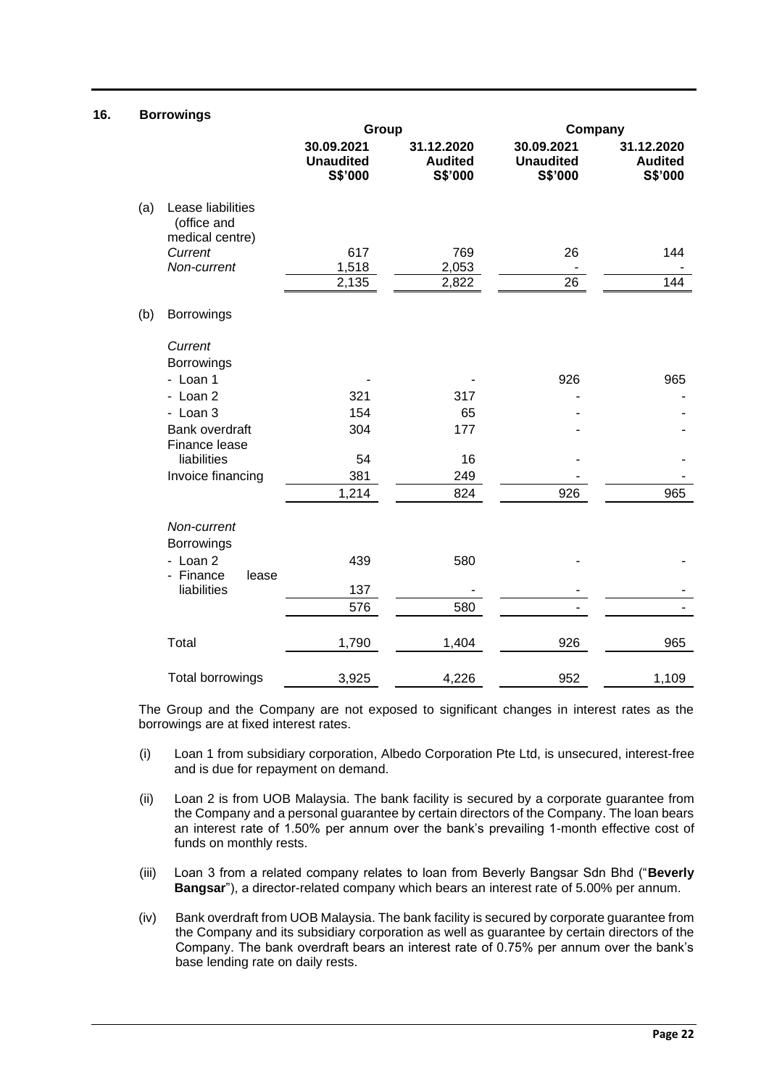## **16. Borrowings**

|     |                                                     | Group                                     |                                         | Company                                   |                                         |
|-----|-----------------------------------------------------|-------------------------------------------|-----------------------------------------|-------------------------------------------|-----------------------------------------|
|     |                                                     | 30.09.2021<br><b>Unaudited</b><br>S\$'000 | 31.12.2020<br><b>Audited</b><br>S\$'000 | 30.09.2021<br><b>Unaudited</b><br>S\$'000 | 31.12.2020<br><b>Audited</b><br>S\$'000 |
| (a) | Lease liabilities<br>(office and<br>medical centre) |                                           |                                         |                                           |                                         |
|     | Current                                             | 617                                       | 769                                     | 26                                        | 144                                     |
|     | Non-current                                         | 1,518                                     | 2,053                                   |                                           |                                         |
|     |                                                     | 2,135                                     | 2,822                                   | 26                                        | 144                                     |
| (b) | <b>Borrowings</b>                                   |                                           |                                         |                                           |                                         |
|     | Current                                             |                                           |                                         |                                           |                                         |
|     | Borrowings                                          |                                           |                                         |                                           |                                         |
|     | - Loan 1                                            |                                           |                                         | 926                                       | 965                                     |
|     | - Loan 2                                            | 321                                       | 317                                     |                                           |                                         |
|     | - Loan 3                                            | 154                                       | 65                                      |                                           |                                         |
|     | Bank overdraft<br>Finance lease                     | 304                                       | 177                                     |                                           |                                         |
|     | liabilities                                         | 54                                        | 16                                      |                                           |                                         |
|     | Invoice financing                                   | 381                                       | 249                                     |                                           |                                         |
|     |                                                     | 1,214                                     | 824                                     | 926                                       | 965                                     |
|     | Non-current<br>Borrowings                           |                                           |                                         |                                           |                                         |
|     | - Loan 2<br>- Finance<br>lease                      | 439                                       | 580                                     |                                           |                                         |
|     | liabilities                                         | 137                                       |                                         |                                           |                                         |
|     |                                                     | 576                                       | 580                                     |                                           |                                         |
|     | Total                                               | 1,790                                     | 1,404                                   | 926                                       | 965                                     |
|     | <b>Total borrowings</b>                             | 3,925                                     | 4,226                                   | 952                                       | 1,109                                   |

The Group and the Company are not exposed to significant changes in interest rates as the borrowings are at fixed interest rates.

- (i) Loan 1 from subsidiary corporation, Albedo Corporation Pte Ltd, is unsecured, interest-free and is due for repayment on demand.
- (ii) Loan 2 is from UOB Malaysia. The bank facility is secured by a corporate guarantee from the Company and a personal guarantee by certain directors of the Company. The loan bears an interest rate of 1.50% per annum over the bank's prevailing 1-month effective cost of funds on monthly rests.
- (iii) Loan 3 from a related company relates to loan from Beverly Bangsar Sdn Bhd ("**Beverly Bangsar**"), a director-related company which bears an interest rate of 5.00% per annum.
- (iv) Bank overdraft from UOB Malaysia. The bank facility is secured by corporate guarantee from the Company and its subsidiary corporation as well as guarantee by certain directors of the Company. The bank overdraft bears an interest rate of 0.75% per annum over the bank's base lending rate on daily rests.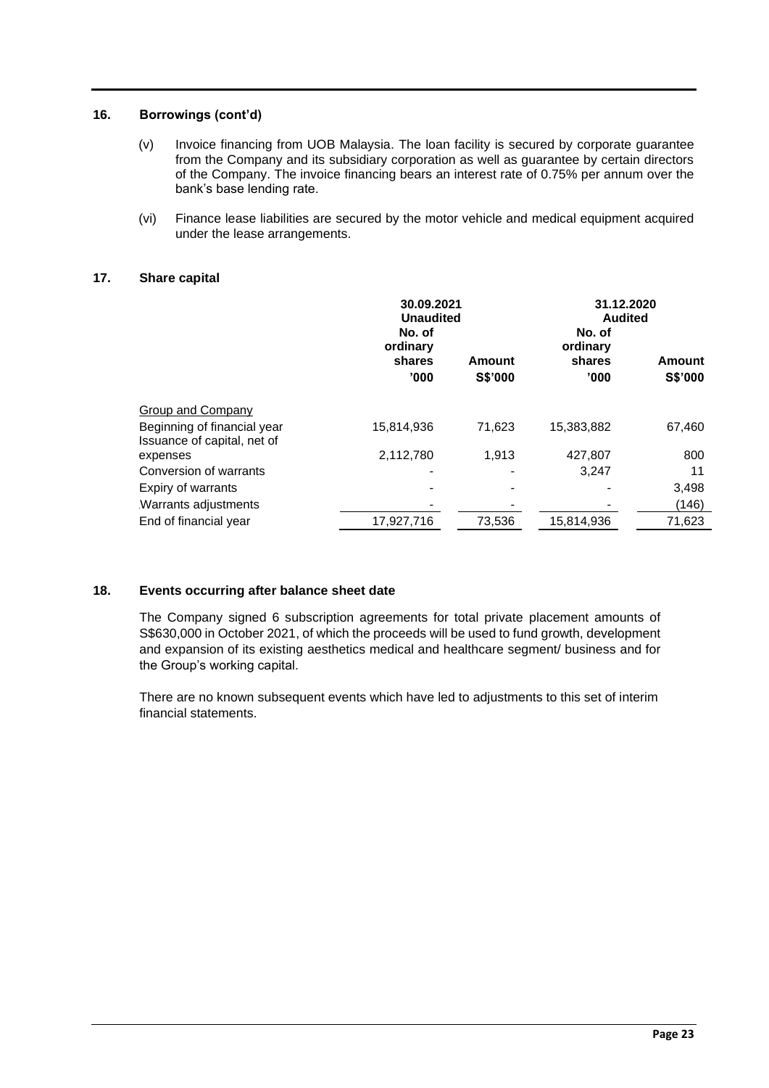## **16. Borrowings (cont'd)**

- (v) Invoice financing from UOB Malaysia. The loan facility is secured by corporate guarantee from the Company and its subsidiary corporation as well as guarantee by certain directors of the Company. The invoice financing bears an interest rate of 0.75% per annum over the bank's base lending rate.
- (vi) Finance lease liabilities are secured by the motor vehicle and medical equipment acquired under the lease arrangements.

## **17. Share capital**

|                                                            | No. of<br>ordinary | 30.09.2021<br><b>Unaudited</b><br>shares<br>Amount |                 | 31.12.2020<br><b>Audited</b><br>Amount |
|------------------------------------------------------------|--------------------|----------------------------------------------------|-----------------|----------------------------------------|
|                                                            | '000'              | S\$'000                                            | shares<br>'000' | <b>S\$'000</b>                         |
| Group and Company                                          |                    |                                                    |                 |                                        |
| Beginning of financial year<br>Issuance of capital, net of | 15,814,936         | 71,623                                             | 15,383,882      | 67,460                                 |
| expenses                                                   | 2,112,780          | 1,913                                              | 427,807         | 800                                    |
| Conversion of warrants                                     |                    |                                                    | 3.247           | 11                                     |
| Expiry of warrants                                         |                    |                                                    |                 | 3,498                                  |
| Warrants adjustments                                       |                    |                                                    |                 | (146)                                  |
| End of financial year                                      | 17,927,716         | 73,536                                             | 15,814,936      | 71,623                                 |
|                                                            |                    |                                                    |                 |                                        |

## **18. Events occurring after balance sheet date**

The Company signed 6 subscription agreements for total private placement amounts of S\$630,000 in October 2021, of which the proceeds will be used to fund growth, development and expansion of its existing aesthetics medical and healthcare segment/ business and for the Group's working capital.

There are no known subsequent events which have led to adjustments to this set of interim financial statements.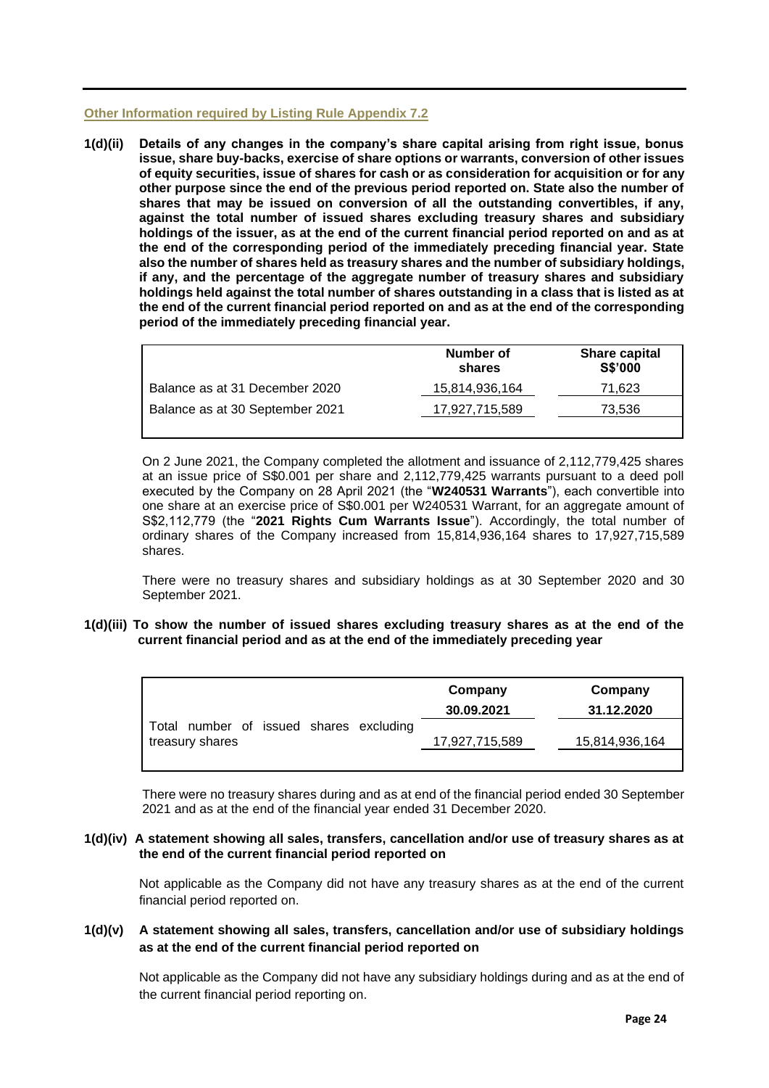#### **Other Information required by Listing Rule Appendix 7.2**

**1(d)(ii) Details of any changes in the company's share capital arising from right issue, bonus issue, share buy-backs, exercise of share options or warrants, conversion of other issues of equity securities, issue of shares for cash or as consideration for acquisition or for any other purpose since the end of the previous period reported on. State also the number of shares that may be issued on conversion of all the outstanding convertibles, if any, against the total number of issued shares excluding treasury shares and subsidiary holdings of the issuer, as at the end of the current financial period reported on and as at the end of the corresponding period of the immediately preceding financial year. State also the number of shares held as treasury shares and the number of subsidiary holdings, if any, and the percentage of the aggregate number of treasury shares and subsidiary holdings held against the total number of shares outstanding in a class that is listed as at the end of the current financial period reported on and as at the end of the corresponding period of the immediately preceding financial year.**

|                                 | Number of<br>shares | Share capital<br><b>S\$'000</b> |
|---------------------------------|---------------------|---------------------------------|
| Balance as at 31 December 2020  | 15,814,936,164      | 71.623                          |
| Balance as at 30 September 2021 | 17,927,715,589      | 73.536                          |
|                                 |                     |                                 |

On 2 June 2021, the Company completed the allotment and issuance of 2,112,779,425 shares at an issue price of S\$0.001 per share and 2,112,779,425 warrants pursuant to a deed poll executed by the Company on 28 April 2021 (the "**W240531 Warrants**"), each convertible into one share at an exercise price of S\$0.001 per W240531 Warrant, for an aggregate amount of S\$2,112,779 (the "**2021 Rights Cum Warrants Issue**"). Accordingly, the total number of ordinary shares of the Company increased from 15,814,936,164 shares to 17,927,715,589 shares.

There were no treasury shares and subsidiary holdings as at 30 September 2020 and 30 September 2021.

**1(d)(iii) To show the number of issued shares excluding treasury shares as at the end of the current financial period and as at the end of the immediately preceding year**

|                                                            | Company<br>30.09.2021 | Company<br>31.12.2020 |
|------------------------------------------------------------|-----------------------|-----------------------|
| Total number of issued shares excluding<br>treasury shares | 17,927,715,589        | 15,814,936,164        |

There were no treasury shares during and as at end of the financial period ended 30 September 2021 and as at the end of the financial year ended 31 December 2020.

## **1(d)(iv) A statement showing all sales, transfers, cancellation and/or use of treasury shares as at the end of the current financial period reported on**

Not applicable as the Company did not have any treasury shares as at the end of the current financial period reported on.

## **1(d)(v) A statement showing all sales, transfers, cancellation and/or use of subsidiary holdings as at the end of the current financial period reported on**

Not applicable as the Company did not have any subsidiary holdings during and as at the end of the current financial period reporting on.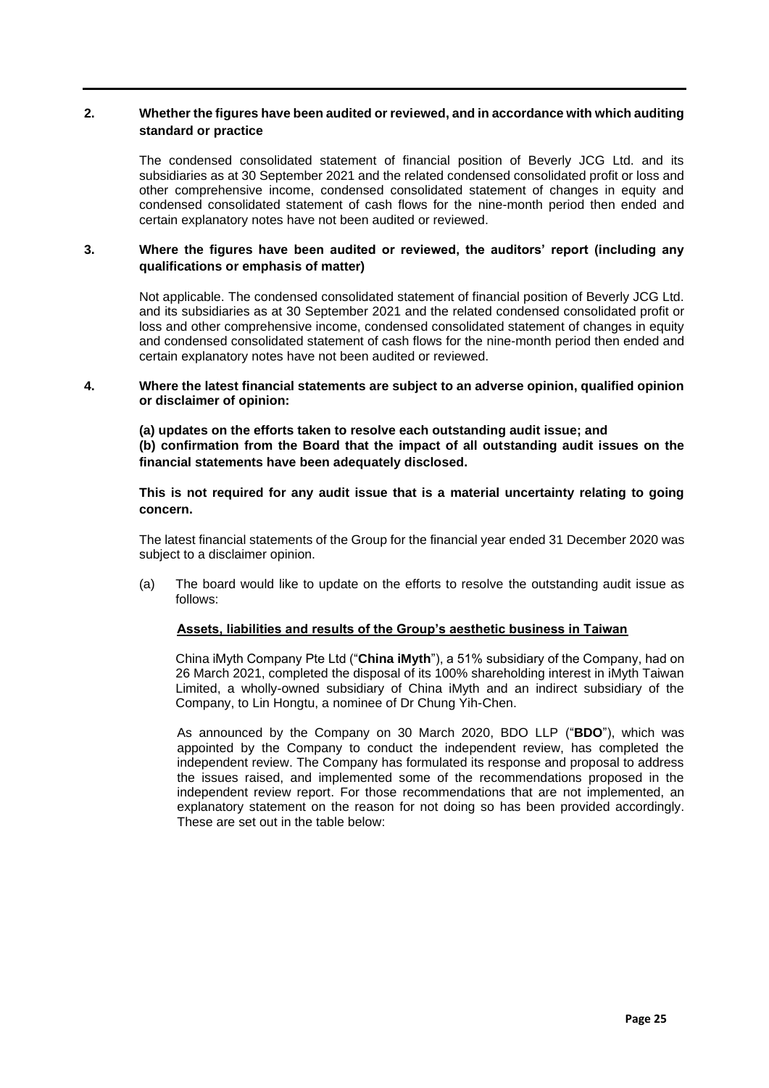## **2. Whether the figures have been audited or reviewed, and in accordance with which auditing standard or practice**

The condensed consolidated statement of financial position of Beverly JCG Ltd. and its subsidiaries as at 30 September 2021 and the related condensed consolidated profit or loss and other comprehensive income, condensed consolidated statement of changes in equity and condensed consolidated statement of cash flows for the nine-month period then ended and certain explanatory notes have not been audited or reviewed.

## **3. Where the figures have been audited or reviewed, the auditors' report (including any qualifications or emphasis of matter)**

Not applicable. The condensed consolidated statement of financial position of Beverly JCG Ltd. and its subsidiaries as at 30 September 2021 and the related condensed consolidated profit or loss and other comprehensive income, condensed consolidated statement of changes in equity and condensed consolidated statement of cash flows for the nine-month period then ended and certain explanatory notes have not been audited or reviewed.

#### **4. Where the latest financial statements are subject to an adverse opinion, qualified opinion or disclaimer of opinion:**

**(a) updates on the efforts taken to resolve each outstanding audit issue; and (b) confirmation from the Board that the impact of all outstanding audit issues on the financial statements have been adequately disclosed.** 

## **This is not required for any audit issue that is a material uncertainty relating to going concern.**

The latest financial statements of the Group for the financial year ended 31 December 2020 was subject to a disclaimer opinion.

(a) The board would like to update on the efforts to resolve the outstanding audit issue as follows:

#### **Assets, liabilities and results of the Group's aesthetic business in Taiwan**

China iMyth Company Pte Ltd ("**China iMyth**"), a 51% subsidiary of the Company, had on 26 March 2021, completed the disposal of its 100% shareholding interest in iMyth Taiwan Limited, a wholly-owned subsidiary of China iMyth and an indirect subsidiary of the Company, to Lin Hongtu, a nominee of Dr Chung Yih-Chen.

As announced by the Company on 30 March 2020, BDO LLP ("**BDO**"), which was appointed by the Company to conduct the independent review, has completed the independent review. The Company has formulated its response and proposal to address the issues raised, and implemented some of the recommendations proposed in the independent review report. For those recommendations that are not implemented, an explanatory statement on the reason for not doing so has been provided accordingly. These are set out in the table below: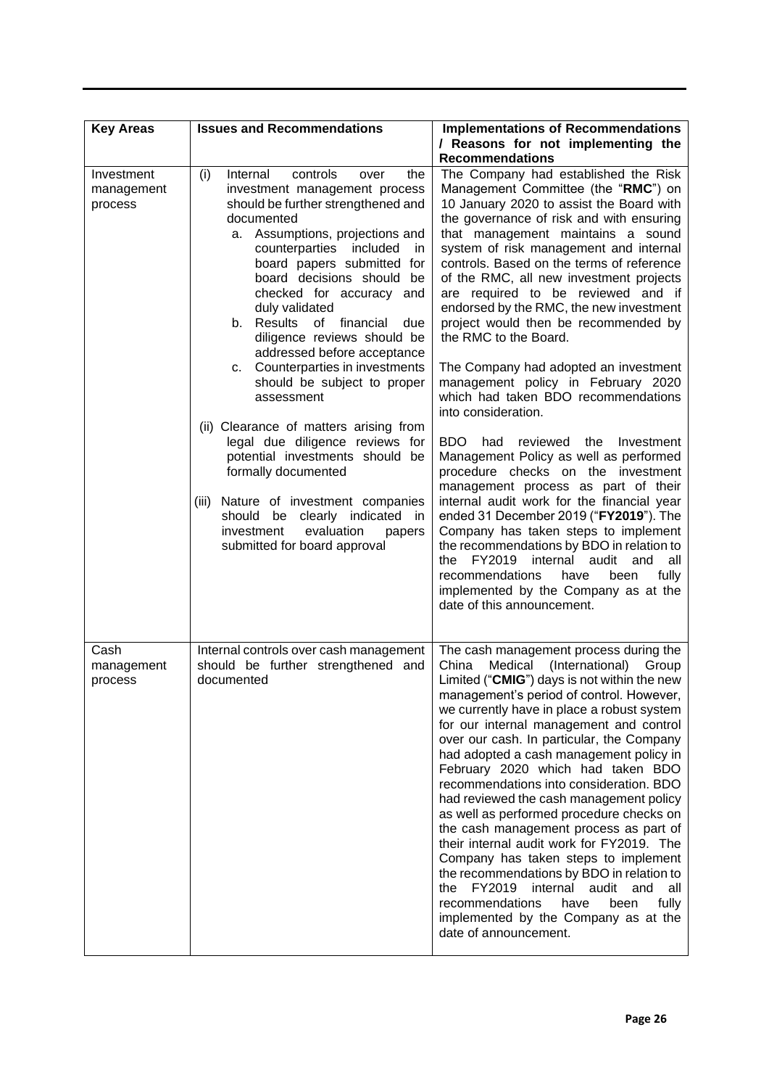| <b>Key Areas</b>                    | <b>Issues and Recommendations</b>                                                                                                                                                                                                                                                                                                                                                                                                                                                                                                                                                                                                                                                                                                                                                                         | <b>Implementations of Recommendations</b>                                                                                                                                                                                                                                                                                                                                                                                                                                                                                                                                                                                                                                                                                                                                                                                                                                                                                                                                                                                                                                                                                                                     |
|-------------------------------------|-----------------------------------------------------------------------------------------------------------------------------------------------------------------------------------------------------------------------------------------------------------------------------------------------------------------------------------------------------------------------------------------------------------------------------------------------------------------------------------------------------------------------------------------------------------------------------------------------------------------------------------------------------------------------------------------------------------------------------------------------------------------------------------------------------------|---------------------------------------------------------------------------------------------------------------------------------------------------------------------------------------------------------------------------------------------------------------------------------------------------------------------------------------------------------------------------------------------------------------------------------------------------------------------------------------------------------------------------------------------------------------------------------------------------------------------------------------------------------------------------------------------------------------------------------------------------------------------------------------------------------------------------------------------------------------------------------------------------------------------------------------------------------------------------------------------------------------------------------------------------------------------------------------------------------------------------------------------------------------|
|                                     |                                                                                                                                                                                                                                                                                                                                                                                                                                                                                                                                                                                                                                                                                                                                                                                                           | / Reasons for not implementing the<br><b>Recommendations</b>                                                                                                                                                                                                                                                                                                                                                                                                                                                                                                                                                                                                                                                                                                                                                                                                                                                                                                                                                                                                                                                                                                  |
| Investment<br>management<br>process | Internal<br>controls<br>the<br>(i)<br>over<br>investment management process<br>should be further strengthened and<br>documented<br>a. Assumptions, projections and<br>counterparties included<br>in<br>board papers submitted for<br>board decisions should be<br>checked for accuracy and<br>duly validated<br>b. Results<br>of<br>financial<br>due<br>diligence reviews should be<br>addressed before acceptance<br>Counterparties in investments<br>с.<br>should be subject to proper<br>assessment<br>(ii) Clearance of matters arising from<br>legal due diligence reviews for<br>potential investments should be<br>formally documented<br>Nature of investment companies<br>(iii)<br>should be<br>clearly<br>indicated<br>in<br>investment<br>evaluation<br>papers<br>submitted for board approval | The Company had established the Risk<br>Management Committee (the "RMC") on<br>10 January 2020 to assist the Board with<br>the governance of risk and with ensuring<br>that management maintains a sound<br>system of risk management and internal<br>controls. Based on the terms of reference<br>of the RMC, all new investment projects<br>are required to be reviewed and if<br>endorsed by the RMC, the new investment<br>project would then be recommended by<br>the RMC to the Board.<br>The Company had adopted an investment<br>management policy in February 2020<br>which had taken BDO recommendations<br>into consideration.<br>BDO.<br>reviewed the<br>had<br>Investment<br>Management Policy as well as performed<br>procedure checks on the investment<br>management process as part of their<br>internal audit work for the financial year<br>ended 31 December 2019 ("FY2019"). The<br>Company has taken steps to implement<br>the recommendations by BDO in relation to<br>the<br>FY2019<br>internal audit<br>and<br>all<br>recommendations<br>have<br>been<br>fully<br>implemented by the Company as at the<br>date of this announcement. |
| Cash<br>management<br>process       | Internal controls over cash management<br>should be further strengthened and<br>documented                                                                                                                                                                                                                                                                                                                                                                                                                                                                                                                                                                                                                                                                                                                | The cash management process during the<br>(International)<br>China<br>Medical<br>Group<br>Limited ("CMIG") days is not within the new<br>management's period of control. However,<br>we currently have in place a robust system<br>for our internal management and control<br>over our cash. In particular, the Company<br>had adopted a cash management policy in<br>February 2020 which had taken BDO<br>recommendations into consideration. BDO<br>had reviewed the cash management policy<br>as well as performed procedure checks on<br>the cash management process as part of<br>their internal audit work for FY2019. The<br>Company has taken steps to implement<br>the recommendations by BDO in relation to<br>FY2019<br>internal audit<br>the<br>and<br>all<br>recommendations<br>fully<br>have<br>been<br>implemented by the Company as at the<br>date of announcement.                                                                                                                                                                                                                                                                           |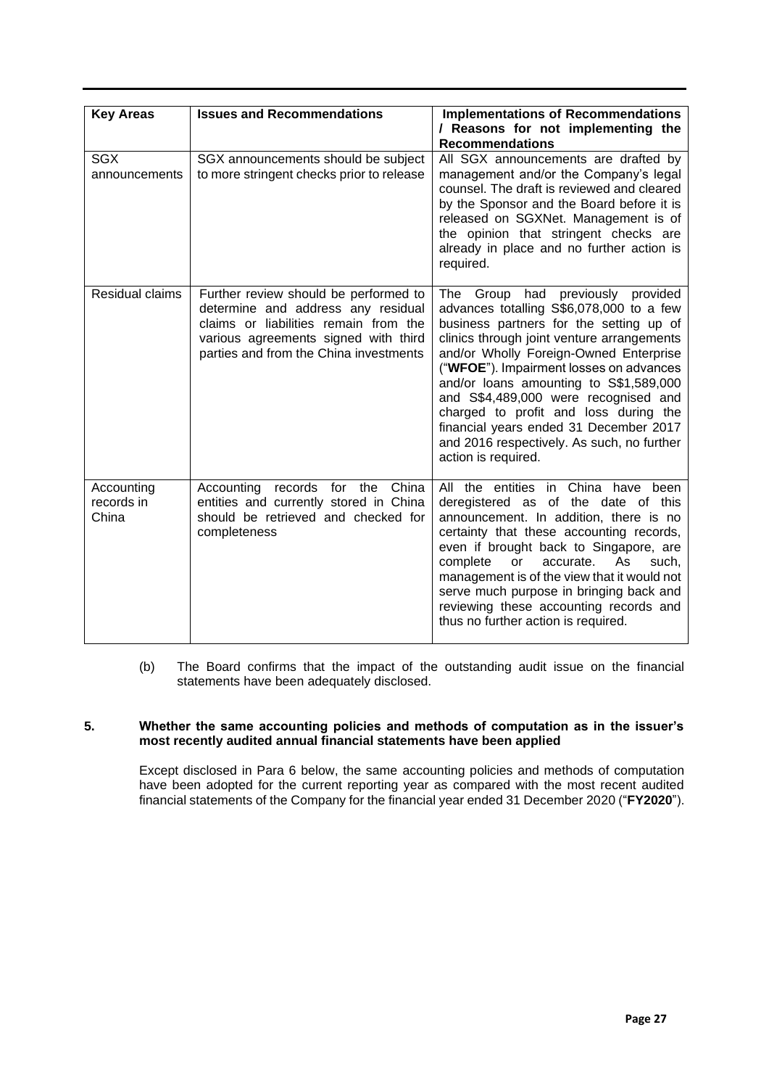| <b>Key Areas</b>                  | <b>Issues and Recommendations</b>                                                                                                                                                                      | <b>Implementations of Recommendations</b><br>/ Reasons for not implementing the<br><b>Recommendations</b>                                                                                                                                                                                                                                                                                                                                                                                             |
|-----------------------------------|--------------------------------------------------------------------------------------------------------------------------------------------------------------------------------------------------------|-------------------------------------------------------------------------------------------------------------------------------------------------------------------------------------------------------------------------------------------------------------------------------------------------------------------------------------------------------------------------------------------------------------------------------------------------------------------------------------------------------|
| <b>SGX</b><br>announcements       | SGX announcements should be subject<br>to more stringent checks prior to release                                                                                                                       | All SGX announcements are drafted by<br>management and/or the Company's legal<br>counsel. The draft is reviewed and cleared<br>by the Sponsor and the Board before it is<br>released on SGXNet. Management is of<br>the opinion that stringent checks are<br>already in place and no further action is<br>required.                                                                                                                                                                                   |
| Residual claims                   | Further review should be performed to<br>determine and address any residual<br>claims or liabilities remain from the<br>various agreements signed with third<br>parties and from the China investments | The Group had previously provided<br>advances totalling S\$6,078,000 to a few<br>business partners for the setting up of<br>clinics through joint venture arrangements<br>and/or Wholly Foreign-Owned Enterprise<br>("WFOE"). Impairment losses on advances<br>and/or loans amounting to S\$1,589,000<br>and S\$4,489,000 were recognised and<br>charged to profit and loss during the<br>financial years ended 31 December 2017<br>and 2016 respectively. As such, no further<br>action is required. |
| Accounting<br>records in<br>China | Accounting records for the China<br>entities and currently stored in China<br>should be retrieved and checked for<br>completeness                                                                      | All the entities in China have been<br>deregistered as of the date of this<br>announcement. In addition, there is no<br>certainty that these accounting records,<br>even if brought back to Singapore, are<br>complete<br>or<br>accurate.<br>As<br>such,<br>management is of the view that it would not<br>serve much purpose in bringing back and<br>reviewing these accounting records and<br>thus no further action is required.                                                                   |

(b) The Board confirms that the impact of the outstanding audit issue on the financial statements have been adequately disclosed.

## **5. Whether the same accounting policies and methods of computation as in the issuer's most recently audited annual financial statements have been applied**

Except disclosed in Para 6 below, the same accounting policies and methods of computation have been adopted for the current reporting year as compared with the most recent audited financial statements of the Company for the financial year ended 31 December 2020 ("**FY2020**").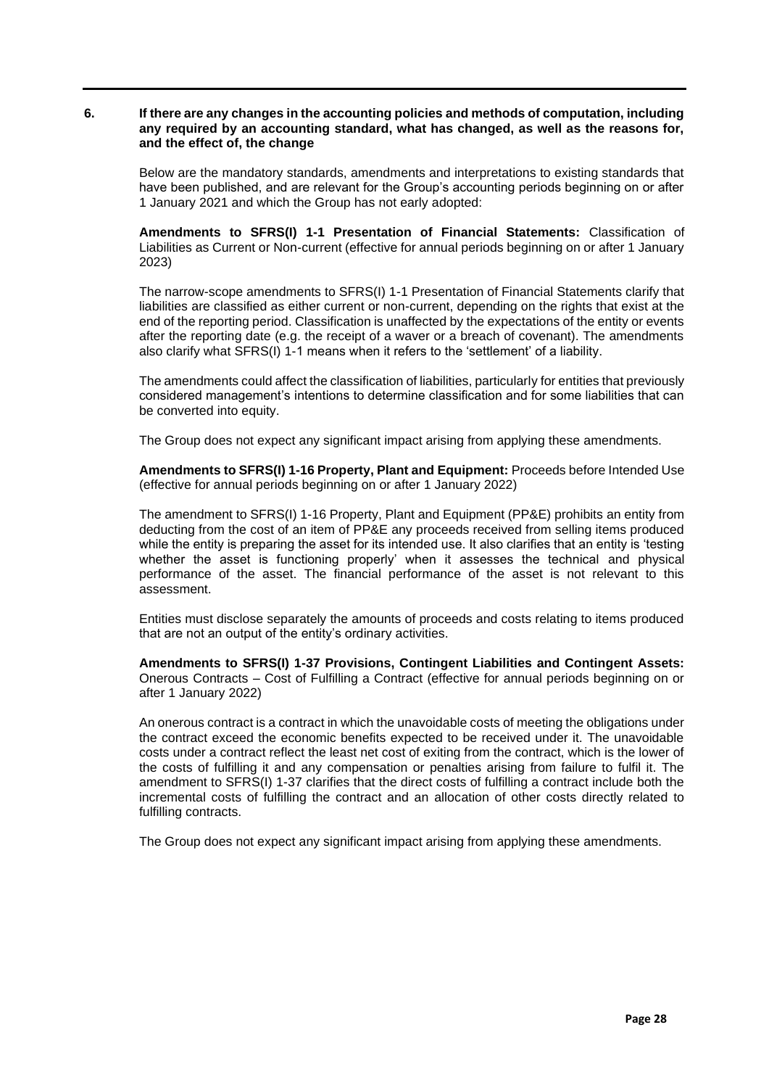#### **6. If there are any changes in the accounting policies and methods of computation, including any required by an accounting standard, what has changed, as well as the reasons for, and the effect of, the change**

Below are the mandatory standards, amendments and interpretations to existing standards that have been published, and are relevant for the Group's accounting periods beginning on or after 1 January 2021 and which the Group has not early adopted:

**Amendments to SFRS(I) 1-1 Presentation of Financial Statements:** Classification of Liabilities as Current or Non-current (effective for annual periods beginning on or after 1 January 2023)

The narrow-scope amendments to SFRS(I) 1-1 Presentation of Financial Statements clarify that liabilities are classified as either current or non-current, depending on the rights that exist at the end of the reporting period. Classification is unaffected by the expectations of the entity or events after the reporting date (e.g. the receipt of a waver or a breach of covenant). The amendments also clarify what SFRS(I) 1-1 means when it refers to the 'settlement' of a liability.

The amendments could affect the classification of liabilities, particularly for entities that previously considered management's intentions to determine classification and for some liabilities that can be converted into equity.

The Group does not expect any significant impact arising from applying these amendments.

**Amendments to SFRS(I) 1-16 Property, Plant and Equipment:** Proceeds before Intended Use (effective for annual periods beginning on or after 1 January 2022)

The amendment to SFRS(I) 1-16 Property, Plant and Equipment (PP&E) prohibits an entity from deducting from the cost of an item of PP&E any proceeds received from selling items produced while the entity is preparing the asset for its intended use. It also clarifies that an entity is 'testing whether the asset is functioning properly' when it assesses the technical and physical performance of the asset. The financial performance of the asset is not relevant to this assessment.

Entities must disclose separately the amounts of proceeds and costs relating to items produced that are not an output of the entity's ordinary activities.

**Amendments to SFRS(I) 1-37 Provisions, Contingent Liabilities and Contingent Assets:** Onerous Contracts – Cost of Fulfilling a Contract (effective for annual periods beginning on or after 1 January 2022)

An onerous contract is a contract in which the unavoidable costs of meeting the obligations under the contract exceed the economic benefits expected to be received under it. The unavoidable costs under a contract reflect the least net cost of exiting from the contract, which is the lower of the costs of fulfilling it and any compensation or penalties arising from failure to fulfil it. The amendment to SFRS(I) 1-37 clarifies that the direct costs of fulfilling a contract include both the incremental costs of fulfilling the contract and an allocation of other costs directly related to fulfilling contracts.

The Group does not expect any significant impact arising from applying these amendments.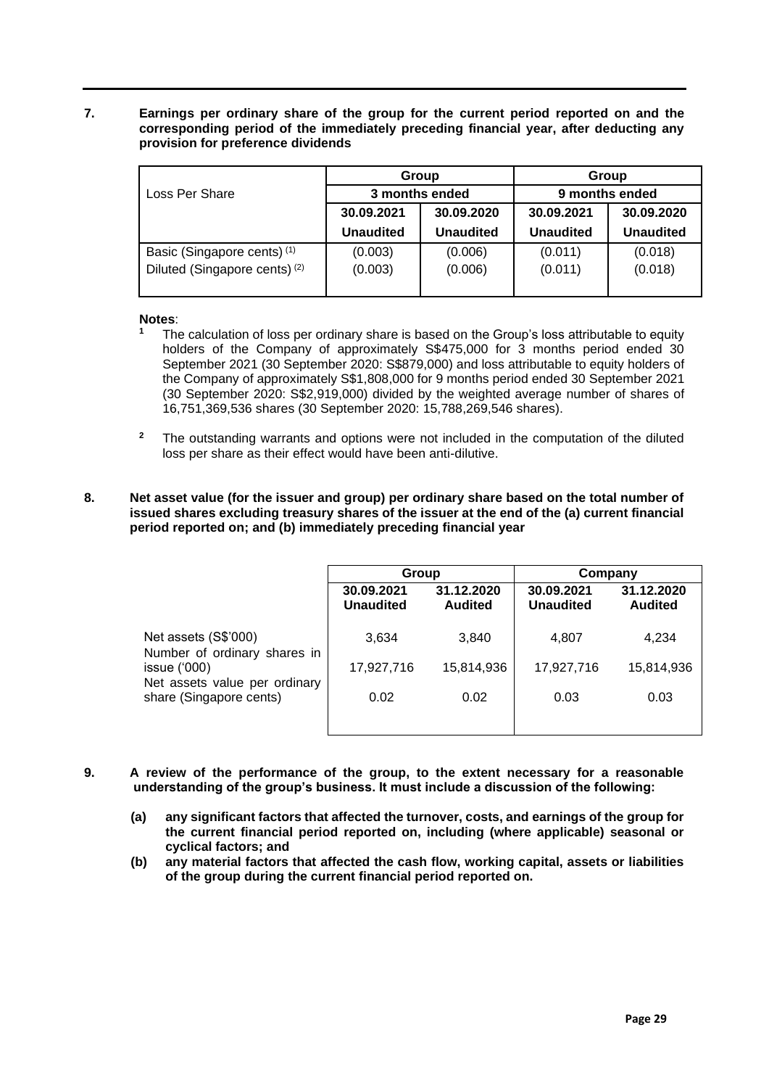**7. Earnings per ordinary share of the group for the current period reported on and the corresponding period of the immediately preceding financial year, after deducting any provision for preference dividends**

|                                          | Group<br>3 months ended<br>30.09.2021<br>30.09.2020<br><b>Unaudited</b><br><b>Unaudited</b> |         | Group            |                  |  |
|------------------------------------------|---------------------------------------------------------------------------------------------|---------|------------------|------------------|--|
| Loss Per Share                           |                                                                                             |         | 9 months ended   |                  |  |
|                                          |                                                                                             |         | 30.09.2021       | 30.09.2020       |  |
|                                          |                                                                                             |         | <b>Unaudited</b> | <b>Unaudited</b> |  |
| Basic (Singapore cents) <sup>(1)</sup>   | (0.003)                                                                                     | (0.006) | (0.011)          | (0.018)          |  |
| Diluted (Singapore cents) <sup>(2)</sup> | (0.003)                                                                                     | (0.006) | (0.011)          | (0.018)          |  |
|                                          |                                                                                             |         |                  |                  |  |

## **Notes**:

- **<sup>1</sup>** The calculation of loss per ordinary share is based on the Group's loss attributable to equity holders of the Company of approximately S\$475,000 for 3 months period ended 30 September 2021 (30 September 2020: S\$879,000) and loss attributable to equity holders of the Company of approximately S\$1,808,000 for 9 months period ended 30 September 2021 (30 September 2020: S\$2,919,000) divided by the weighted average number of shares of 16,751,369,536 shares (30 September 2020: 15,788,269,546 shares).
- **<sup>2</sup>** The outstanding warrants and options were not included in the computation of the diluted loss per share as their effect would have been anti-dilutive.
- **8. Net asset value (for the issuer and group) per ordinary share based on the total number of issued shares excluding treasury shares of the issuer at the end of the (a) current financial period reported on; and (b) immediately preceding financial year**

|                                                                                                                                   | Group                          |                              | Company                        |                              |
|-----------------------------------------------------------------------------------------------------------------------------------|--------------------------------|------------------------------|--------------------------------|------------------------------|
|                                                                                                                                   | 30.09.2021<br><b>Unaudited</b> | 31.12.2020<br><b>Audited</b> | 30.09.2021<br><b>Unaudited</b> | 31.12.2020<br><b>Audited</b> |
| Net assets (S\$'000)<br>Number of ordinary shares in<br>issue $(000)$<br>Net assets value per ordinary<br>share (Singapore cents) | 3,634                          | 3,840                        | 4,807                          | 4,234                        |
|                                                                                                                                   | 17,927,716                     | 15,814,936                   | 17,927,716                     | 15,814,936                   |
|                                                                                                                                   | 0.02                           | 0.02                         | 0.03                           | 0.03                         |
|                                                                                                                                   |                                |                              |                                |                              |

- **9. A review of the performance of the group, to the extent necessary for a reasonable understanding of the group's business. It must include a discussion of the following:**
	- **(a) any significant factors that affected the turnover, costs, and earnings of the group for the current financial period reported on, including (where applicable) seasonal or cyclical factors; and**
	- **(b) any material factors that affected the cash flow, working capital, assets or liabilities of the group during the current financial period reported on.**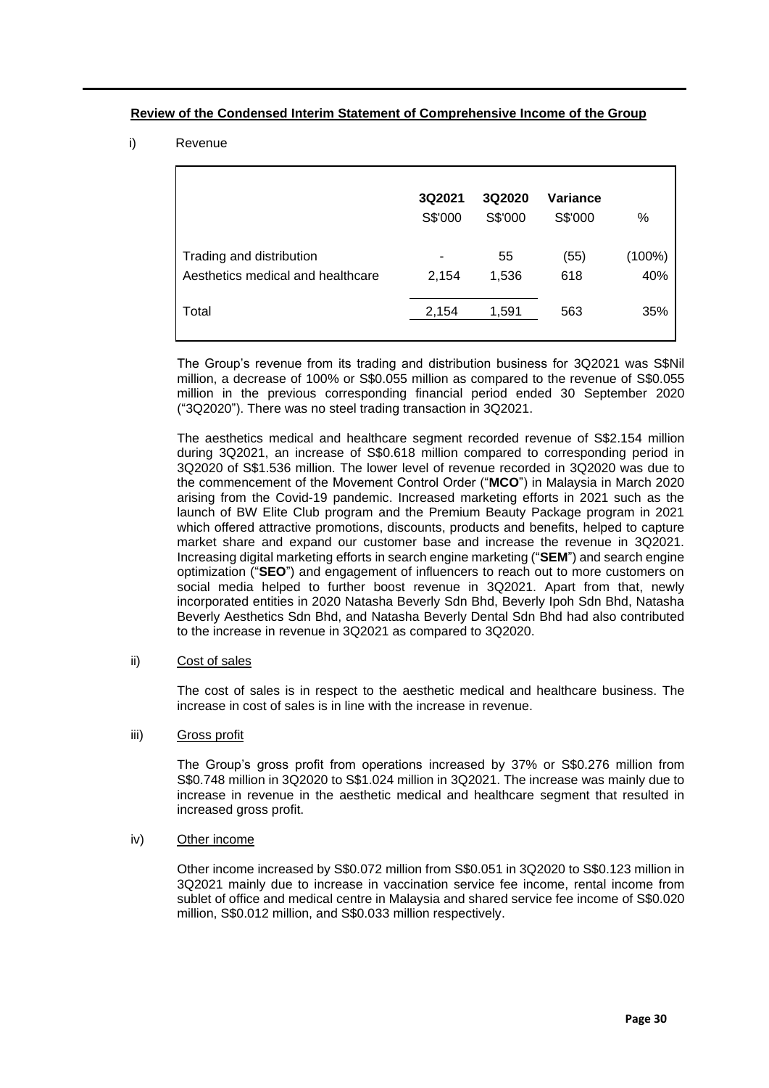## **Review of the Condensed Interim Statement of Comprehensive Income of the Group**

## i) Revenue

|                                                               | 3Q2021<br>S\$'000 | 3Q2020<br>S\$'000 | Variance<br>S\$'000 | %             |
|---------------------------------------------------------------|-------------------|-------------------|---------------------|---------------|
| Trading and distribution<br>Aesthetics medical and healthcare | 2,154             | 55<br>1,536       | (55)<br>618         | (100%)<br>40% |
| Total                                                         | 2,154             | 1,591             | 563                 | 35%           |

The Group's revenue from its trading and distribution business for 3Q2021 was S\$Nil million, a decrease of 100% or S\$0.055 million as compared to the revenue of S\$0.055 million in the previous corresponding financial period ended 30 September 2020 ("3Q2020"). There was no steel trading transaction in 3Q2021.

The aesthetics medical and healthcare segment recorded revenue of S\$2.154 million during 3Q2021, an increase of S\$0.618 million compared to corresponding period in 3Q2020 of S\$1.536 million. The lower level of revenue recorded in 3Q2020 was due to the commencement of the Movement Control Order ("**MCO**") in Malaysia in March 2020 arising from the Covid-19 pandemic. Increased marketing efforts in 2021 such as the launch of BW Elite Club program and the Premium Beauty Package program in 2021 which offered attractive promotions, discounts, products and benefits, helped to capture market share and expand our customer base and increase the revenue in 3Q2021. Increasing digital marketing efforts in search engine marketing ("**SEM**") and search engine optimization ("**SEO**") and engagement of influencers to reach out to more customers on social media helped to further boost revenue in 3Q2021. Apart from that, newly incorporated entities in 2020 Natasha Beverly Sdn Bhd, Beverly Ipoh Sdn Bhd, Natasha Beverly Aesthetics Sdn Bhd, and Natasha Beverly Dental Sdn Bhd had also contributed to the increase in revenue in 3Q2021 as compared to 3Q2020.

#### ii) Cost of sales

The cost of sales is in respect to the aesthetic medical and healthcare business. The increase in cost of sales is in line with the increase in revenue.

#### iii) Gross profit

The Group's gross profit from operations increased by 37% or S\$0.276 million from S\$0.748 million in 3Q2020 to S\$1.024 million in 3Q2021. The increase was mainly due to increase in revenue in the aesthetic medical and healthcare segment that resulted in increased gross profit.

## iv) Other income

Other income increased by S\$0.072 million from S\$0.051 in 3Q2020 to S\$0.123 million in 3Q2021 mainly due to increase in vaccination service fee income, rental income from sublet of office and medical centre in Malaysia and shared service fee income of S\$0.020 million, S\$0.012 million, and S\$0.033 million respectively.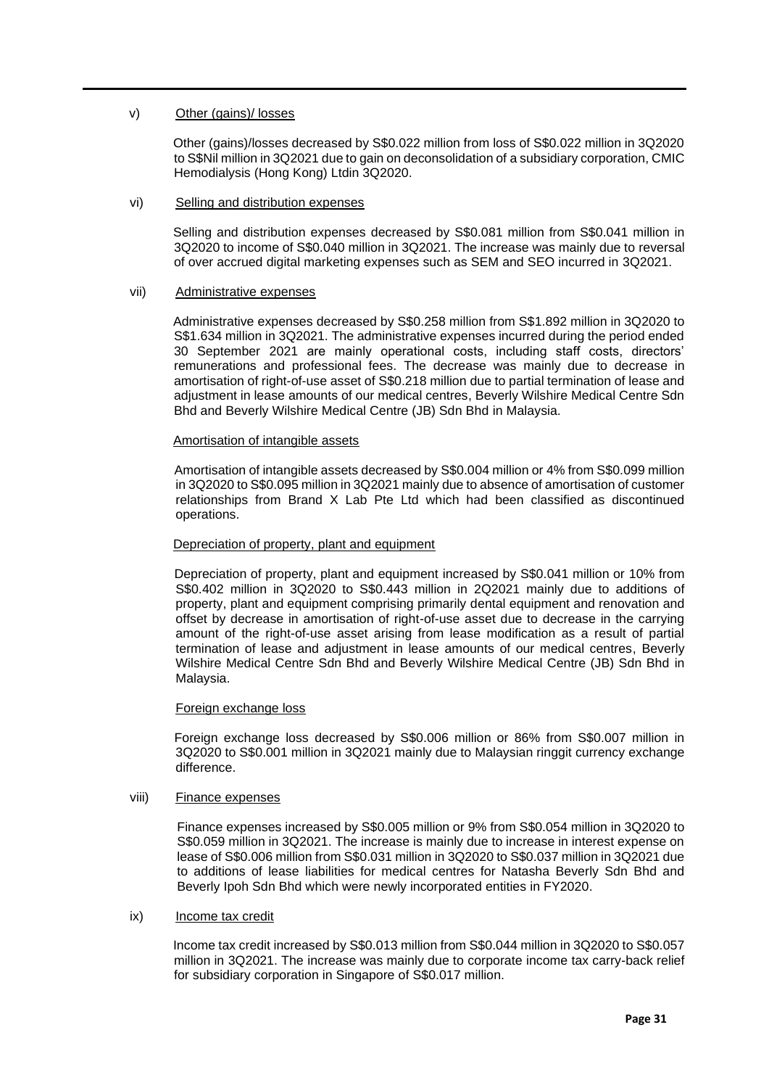#### v) Other (gains)/ losses

Other (gains)/losses decreased by S\$0.022 million from loss of S\$0.022 million in 3Q2020 to S\$Nil million in 3Q2021 due to gain on deconsolidation of a subsidiary corporation, CMIC Hemodialysis (Hong Kong) Ltdin 3Q2020.

#### vi) Selling and distribution expenses

Selling and distribution expenses decreased by S\$0.081 million from S\$0.041 million in 3Q2020 to income of S\$0.040 million in 3Q2021. The increase was mainly due to reversal of over accrued digital marketing expenses such as SEM and SEO incurred in 3Q2021.

#### vii) Administrative expenses

Administrative expenses decreased by S\$0.258 million from S\$1.892 million in 3Q2020 to S\$1.634 million in 3Q2021. The administrative expenses incurred during the period ended 30 September 2021 are mainly operational costs, including staff costs, directors' remunerations and professional fees. The decrease was mainly due to decrease in amortisation of right-of-use asset of S\$0.218 million due to partial termination of lease and adjustment in lease amounts of our medical centres, Beverly Wilshire Medical Centre Sdn Bhd and Beverly Wilshire Medical Centre (JB) Sdn Bhd in Malaysia.

#### Amortisation of intangible assets

Amortisation of intangible assets decreased by S\$0.004 million or 4% from S\$0.099 million in 3Q2020 to S\$0.095 million in 3Q2021 mainly due to absence of amortisation of customer relationships from Brand X Lab Pte Ltd which had been classified as discontinued operations.

#### Depreciation of property, plant and equipment

Depreciation of property, plant and equipment increased by S\$0.041 million or 10% from S\$0.402 million in 3Q2020 to S\$0.443 million in 2Q2021 mainly due to additions of property, plant and equipment comprising primarily dental equipment and renovation and offset by decrease in amortisation of right-of-use asset due to decrease in the carrying amount of the right-of-use asset arising from lease modification as a result of partial termination of lease and adjustment in lease amounts of our medical centres, Beverly Wilshire Medical Centre Sdn Bhd and Beverly Wilshire Medical Centre (JB) Sdn Bhd in Malaysia.

#### Foreign exchange loss

Foreign exchange loss decreased by S\$0.006 million or 86% from S\$0.007 million in 3Q2020 to S\$0.001 million in 3Q2021 mainly due to Malaysian ringgit currency exchange difference.

## viii) Finance expenses

Finance expenses increased by S\$0.005 million or 9% from S\$0.054 million in 3Q2020 to S\$0.059 million in 3Q2021. The increase is mainly due to increase in interest expense on lease of S\$0.006 million from S\$0.031 million in 3Q2020 to S\$0.037 million in 3Q2021 due to additions of lease liabilities for medical centres for Natasha Beverly Sdn Bhd and Beverly Ipoh Sdn Bhd which were newly incorporated entities in FY2020.

#### ix) Income tax credit

Income tax credit increased by S\$0.013 million from S\$0.044 million in 3Q2020 to S\$0.057 million in 3Q2021. The increase was mainly due to corporate income tax carry-back relief for subsidiary corporation in Singapore of S\$0.017 million.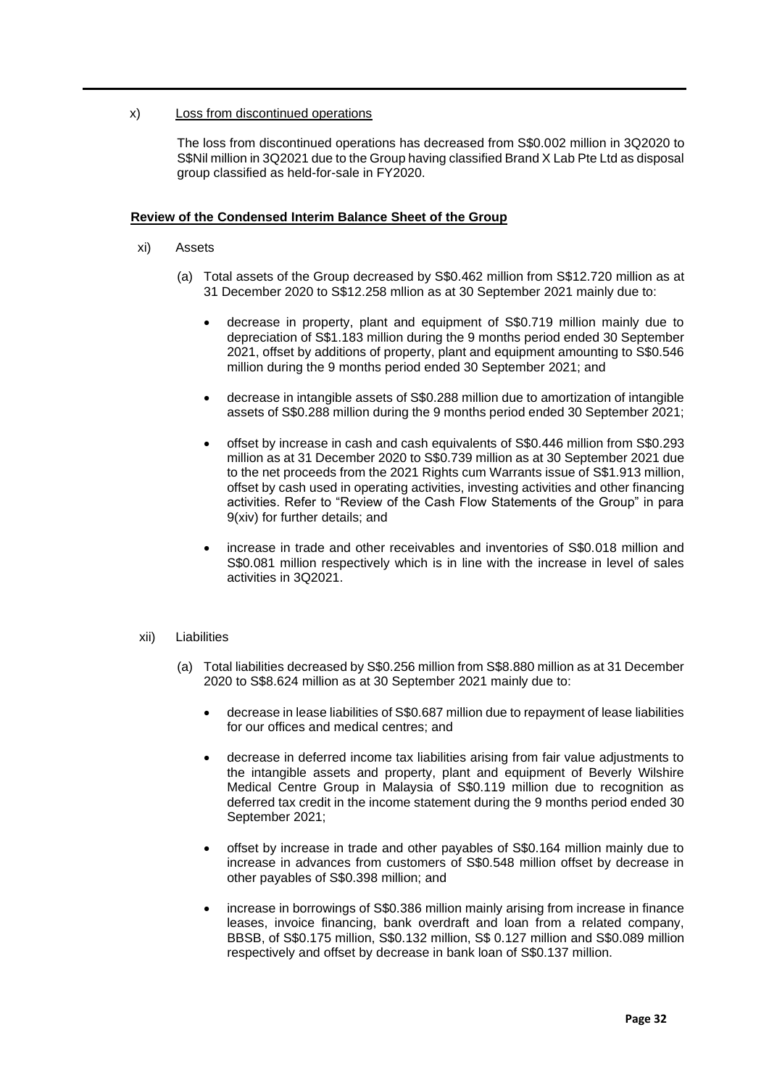## x) Loss from discontinued operations

The loss from discontinued operations has decreased from S\$0.002 million in 3Q2020 to S\$Nil million in 3Q2021 due to the Group having classified Brand X Lab Pte Ltd as disposal group classified as held-for-sale in FY2020.

## **Review of the Condensed Interim Balance Sheet of the Group**

- xi) Assets
	- (a) Total assets of the Group decreased by S\$0.462 million from S\$12.720 million as at 31 December 2020 to S\$12.258 mllion as at 30 September 2021 mainly due to:
		- decrease in property, plant and equipment of S\$0.719 million mainly due to depreciation of S\$1.183 million during the 9 months period ended 30 September 2021, offset by additions of property, plant and equipment amounting to S\$0.546 million during the 9 months period ended 30 September 2021; and
		- decrease in intangible assets of S\$0.288 million due to amortization of intangible assets of S\$0.288 million during the 9 months period ended 30 September 2021;
		- offset by increase in cash and cash equivalents of S\$0.446 million from S\$0.293 million as at 31 December 2020 to S\$0.739 million as at 30 September 2021 due to the net proceeds from the 2021 Rights cum Warrants issue of S\$1.913 million, offset by cash used in operating activities, investing activities and other financing activities. Refer to "Review of the Cash Flow Statements of the Group" in para 9(xiv) for further details; and
		- increase in trade and other receivables and inventories of S\$0.018 million and S\$0.081 million respectively which is in line with the increase in level of sales activities in 3Q2021.

#### xii) Liabilities

- (a) Total liabilities decreased by S\$0.256 million from S\$8.880 million as at 31 December 2020 to S\$8.624 million as at 30 September 2021 mainly due to:
	- decrease in lease liabilities of S\$0.687 million due to repayment of lease liabilities for our offices and medical centres; and
	- decrease in deferred income tax liabilities arising from fair value adjustments to the intangible assets and property, plant and equipment of Beverly Wilshire Medical Centre Group in Malaysia of S\$0.119 million due to recognition as deferred tax credit in the income statement during the 9 months period ended 30 September 2021;
	- offset by increase in trade and other payables of S\$0.164 million mainly due to increase in advances from customers of S\$0.548 million offset by decrease in other payables of S\$0.398 million; and
	- increase in borrowings of S\$0.386 million mainly arising from increase in finance leases, invoice financing, bank overdraft and loan from a related company, BBSB, of S\$0.175 million, S\$0.132 million, S\$ 0.127 million and S\$0.089 million respectively and offset by decrease in bank loan of S\$0.137 million.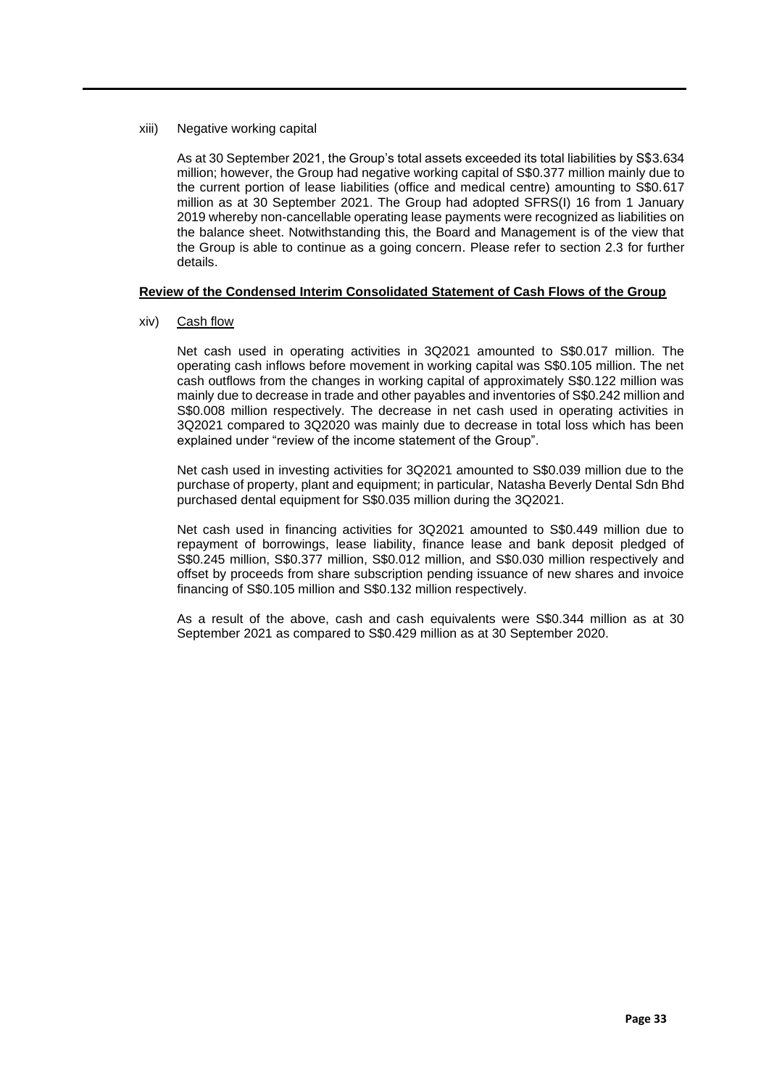xiii) Negative working capital

As at 30 September 2021, the Group's total assets exceeded its total liabilities by S\$3.634 million; however, the Group had negative working capital of S\$0.377 million mainly due to the current portion of lease liabilities (office and medical centre) amounting to S\$0.617 million as at 30 September 2021. The Group had adopted SFRS(I) 16 from 1 January 2019 whereby non-cancellable operating lease payments were recognized as liabilities on the balance sheet. Notwithstanding this, the Board and Management is of the view that the Group is able to continue as a going concern. Please refer to section 2.3 for further details.

## **Review of the Condensed Interim Consolidated Statement of Cash Flows of the Group**

xiv) Cash flow

Net cash used in operating activities in 3Q2021 amounted to S\$0.017 million. The operating cash inflows before movement in working capital was S\$0.105 million. The net cash outflows from the changes in working capital of approximately S\$0.122 million was mainly due to decrease in trade and other payables and inventories of S\$0.242 million and S\$0.008 million respectively. The decrease in net cash used in operating activities in 3Q2021 compared to 3Q2020 was mainly due to decrease in total loss which has been explained under "review of the income statement of the Group".

Net cash used in investing activities for 3Q2021 amounted to S\$0.039 million due to the purchase of property, plant and equipment; in particular, Natasha Beverly Dental Sdn Bhd purchased dental equipment for S\$0.035 million during the 3Q2021.

Net cash used in financing activities for 3Q2021 amounted to S\$0.449 million due to repayment of borrowings, lease liability, finance lease and bank deposit pledged of S\$0.245 million, S\$0.377 million, S\$0.012 million, and S\$0.030 million respectively and offset by proceeds from share subscription pending issuance of new shares and invoice financing of S\$0.105 million and S\$0.132 million respectively.

As a result of the above, cash and cash equivalents were S\$0.344 million as at 30 September 2021 as compared to S\$0.429 million as at 30 September 2020.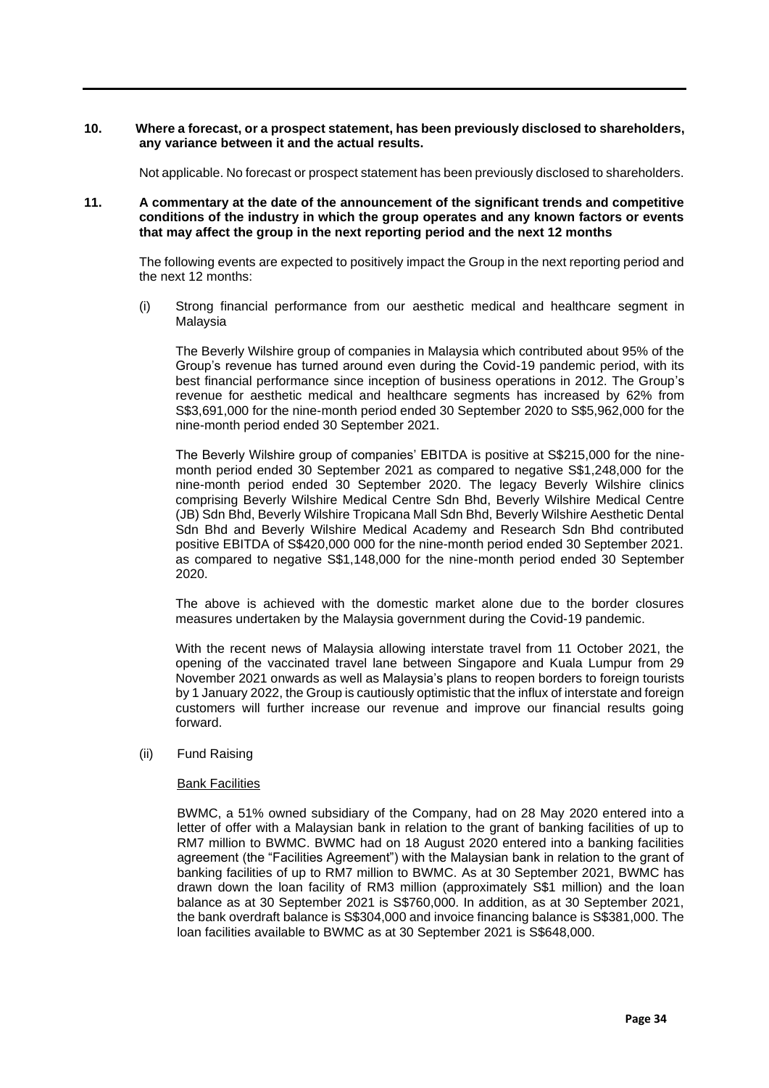#### **10. Where a forecast, or a prospect statement, has been previously disclosed to shareholders, any variance between it and the actual results.**

Not applicable. No forecast or prospect statement has been previously disclosed to shareholders.

#### **11. A commentary at the date of the announcement of the significant trends and competitive conditions of the industry in which the group operates and any known factors or events that may affect the group in the next reporting period and the next 12 months**

The following events are expected to positively impact the Group in the next reporting period and the next 12 months:

(i) Strong financial performance from our aesthetic medical and healthcare segment in Malaysia

The Beverly Wilshire group of companies in Malaysia which contributed about 95% of the Group's revenue has turned around even during the Covid-19 pandemic period, with its best financial performance since inception of business operations in 2012. The Group's revenue for aesthetic medical and healthcare segments has increased by 62% from S\$3,691,000 for the nine-month period ended 30 September 2020 to S\$5,962,000 for the nine-month period ended 30 September 2021.

The Beverly Wilshire group of companies' EBITDA is positive at S\$215,000 for the ninemonth period ended 30 September 2021 as compared to negative S\$1,248,000 for the nine-month period ended 30 September 2020. The legacy Beverly Wilshire clinics comprising Beverly Wilshire Medical Centre Sdn Bhd, Beverly Wilshire Medical Centre (JB) Sdn Bhd, Beverly Wilshire Tropicana Mall Sdn Bhd, Beverly Wilshire Aesthetic Dental Sdn Bhd and Beverly Wilshire Medical Academy and Research Sdn Bhd contributed positive EBITDA of S\$420,000 000 for the nine-month period ended 30 September 2021. as compared to negative S\$1,148,000 for the nine-month period ended 30 September 2020.

The above is achieved with the domestic market alone due to the border closures measures undertaken by the Malaysia government during the Covid-19 pandemic.

With the recent news of Malaysia allowing interstate travel from 11 October 2021, the opening of the vaccinated travel lane between Singapore and Kuala Lumpur from 29 November 2021 onwards as well as Malaysia's plans to reopen borders to foreign tourists by 1 January 2022, the Group is cautiously optimistic that the influx of interstate and foreign customers will further increase our revenue and improve our financial results going forward.

#### (ii) Fund Raising

#### Bank Facilities

BWMC, a 51% owned subsidiary of the Company, had on 28 May 2020 entered into a letter of offer with a Malaysian bank in relation to the grant of banking facilities of up to RM7 million to BWMC. BWMC had on 18 August 2020 entered into a banking facilities agreement (the "Facilities Agreement") with the Malaysian bank in relation to the grant of banking facilities of up to RM7 million to BWMC. As at 30 September 2021, BWMC has drawn down the loan facility of RM3 million (approximately S\$1 million) and the loan balance as at 30 September 2021 is S\$760,000. In addition, as at 30 September 2021, the bank overdraft balance is S\$304,000 and invoice financing balance is S\$381,000. The loan facilities available to BWMC as at 30 September 2021 is S\$648,000.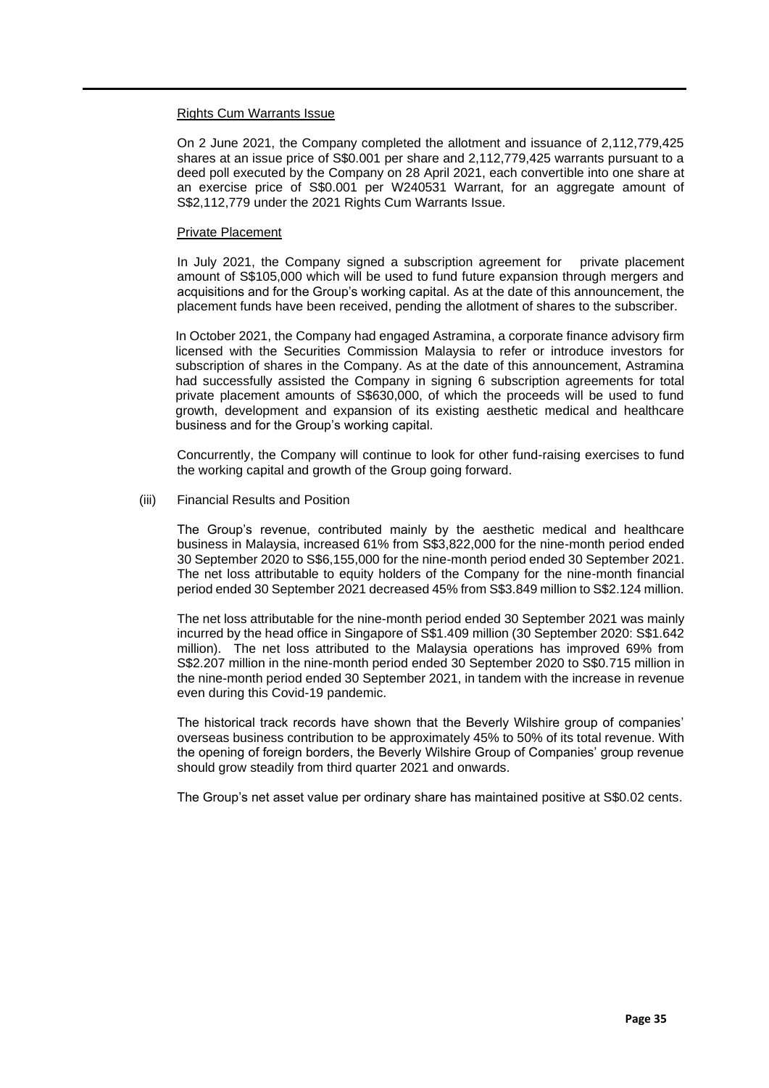#### Rights Cum Warrants Issue

On 2 June 2021, the Company completed the allotment and issuance of 2,112,779,425 shares at an issue price of S\$0.001 per share and 2,112,779,425 warrants pursuant to a deed poll executed by the Company on 28 April 2021, each convertible into one share at an exercise price of S\$0.001 per W240531 Warrant, for an aggregate amount of S\$2,112,779 under the 2021 Rights Cum Warrants Issue.

#### Private Placement

In July 2021, the Company signed a subscription agreement for private placement amount of S\$105,000 which will be used to fund future expansion through mergers and acquisitions and for the Group's working capital. As at the date of this announcement, the placement funds have been received, pending the allotment of shares to the subscriber.

In October 2021, the Company had engaged Astramina, a corporate finance advisory firm licensed with the Securities Commission Malaysia to refer or introduce investors for subscription of shares in the Company. As at the date of this announcement, Astramina had successfully assisted the Company in signing 6 subscription agreements for total private placement amounts of S\$630,000, of which the proceeds will be used to fund growth, development and expansion of its existing aesthetic medical and healthcare business and for the Group's working capital.

Concurrently, the Company will continue to look for other fund-raising exercises to fund the working capital and growth of the Group going forward.

#### (iii) Financial Results and Position

The Group's revenue, contributed mainly by the aesthetic medical and healthcare business in Malaysia, increased 61% from S\$3,822,000 for the nine-month period ended 30 September 2020 to S\$6,155,000 for the nine-month period ended 30 September 2021. The net loss attributable to equity holders of the Company for the nine-month financial period ended 30 September 2021 decreased 45% from S\$3.849 million to S\$2.124 million.

The net loss attributable for the nine-month period ended 30 September 2021 was mainly incurred by the head office in Singapore of S\$1.409 million (30 September 2020: S\$1.642 million). The net loss attributed to the Malaysia operations has improved 69% from S\$2.207 million in the nine-month period ended 30 September 2020 to S\$0.715 million in the nine-month period ended 30 September 2021, in tandem with the increase in revenue even during this Covid-19 pandemic.

The historical track records have shown that the Beverly Wilshire group of companies' overseas business contribution to be approximately 45% to 50% of its total revenue. With the opening of foreign borders, the Beverly Wilshire Group of Companies' group revenue should grow steadily from third quarter 2021 and onwards.

The Group's net asset value per ordinary share has maintained positive at S\$0.02 cents.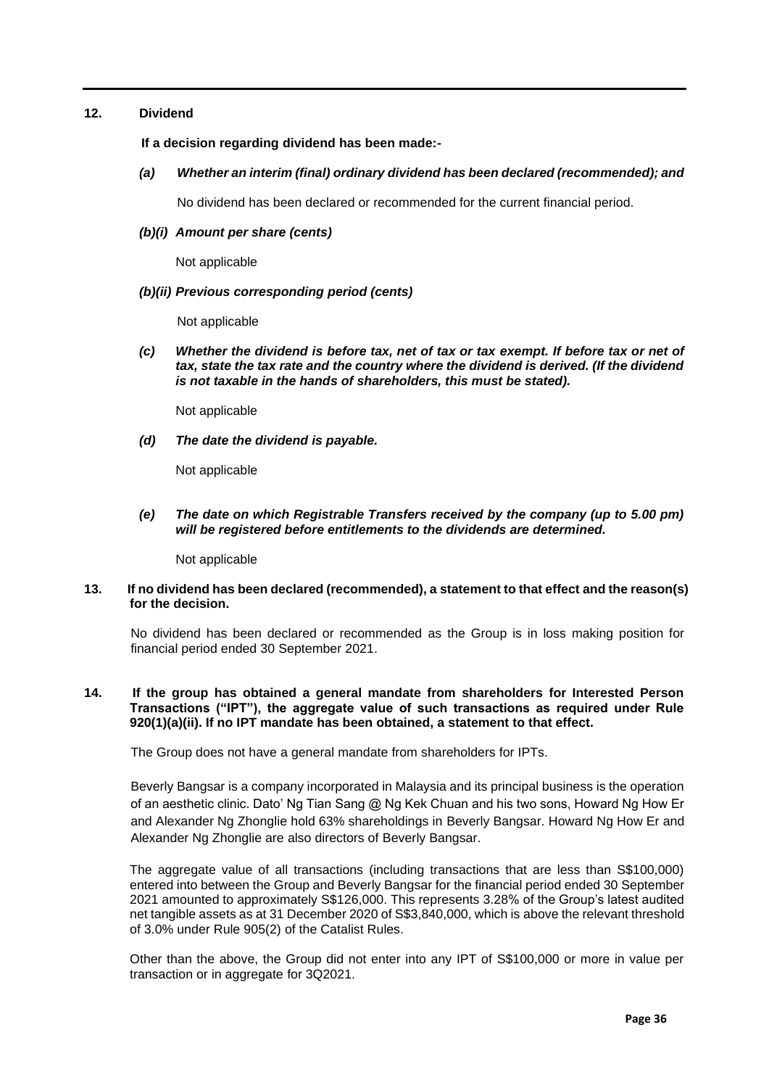## **12. Dividend**

 **If a decision regarding dividend has been made:-**

*(a) Whether an interim (final) ordinary dividend has been declared (recommended); and*

No dividend has been declared or recommended for the current financial period.

## *(b)(i) Amount per share (cents)*

Not applicable

#### *(b)(ii) Previous corresponding period (cents)*

Not applicable

*(c) Whether the dividend is before tax, net of tax or tax exempt. If before tax or net of tax, state the tax rate and the country where the dividend is derived. (If the dividend is not taxable in the hands of shareholders, this must be stated).*

Not applicable

*(d) The date the dividend is payable.* 

Not applicable

*(e) The date on which Registrable Transfers received by the company (up to 5.00 pm) will be registered before entitlements to the dividends are determined.*

Not applicable

## **13. If no dividend has been declared (recommended), a statement to that effect and the reason(s) for the decision.**

No dividend has been declared or recommended as the Group is in loss making position for financial period ended 30 September 2021.

## **14. If the group has obtained a general mandate from shareholders for Interested Person Transactions ("IPT"), the aggregate value of such transactions as required under Rule 920(1)(a)(ii). If no IPT mandate has been obtained, a statement to that effect.**

The Group does not have a general mandate from shareholders for IPTs.

Beverly Bangsar is a company incorporated in Malaysia and its principal business is the operation of an aesthetic clinic. Dato' Ng Tian Sang @ Ng Kek Chuan and his two sons, Howard Ng How Er and Alexander Ng Zhonglie hold 63% shareholdings in Beverly Bangsar. Howard Ng How Er and Alexander Ng Zhonglie are also directors of Beverly Bangsar.

The aggregate value of all transactions (including transactions that are less than S\$100,000) entered into between the Group and Beverly Bangsar for the financial period ended 30 September 2021 amounted to approximately S\$126,000. This represents 3.28% of the Group's latest audited net tangible assets as at 31 December 2020 of S\$3,840,000, which is above the relevant threshold of 3.0% under Rule 905(2) of the Catalist Rules.

Other than the above, the Group did not enter into any IPT of S\$100,000 or more in value per transaction or in aggregate for 3Q2021.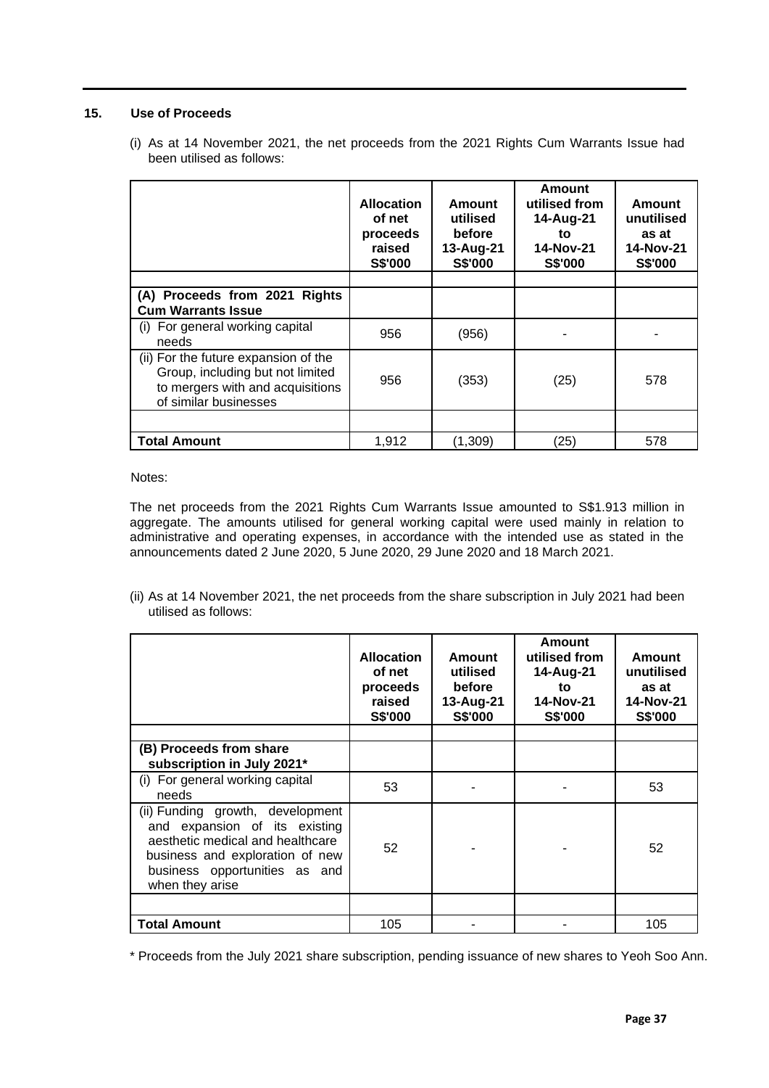## **15. Use of Proceeds**

(i) As at 14 November 2021, the net proceeds from the 2021 Rights Cum Warrants Issue had been utilised as follows:

|                                                                                                                                       | <b>Allocation</b><br>of net<br>proceeds<br>raised<br>S\$'000 | <b>Amount</b><br>utilised<br>before<br>13-Aug-21<br>S\$'000 | Amount<br>utilised from<br>14-Aug-21<br>to<br><b>14-Nov-21</b><br>S\$'000 | Amount<br>unutilised<br>as at<br>14-Nov-21<br>S\$'000 |
|---------------------------------------------------------------------------------------------------------------------------------------|--------------------------------------------------------------|-------------------------------------------------------------|---------------------------------------------------------------------------|-------------------------------------------------------|
|                                                                                                                                       |                                                              |                                                             |                                                                           |                                                       |
| (A) Proceeds from 2021 Rights<br><b>Cum Warrants Issue</b>                                                                            |                                                              |                                                             |                                                                           |                                                       |
| (i) For general working capital<br>needs                                                                                              | 956                                                          | (956)                                                       |                                                                           |                                                       |
| (ii) For the future expansion of the<br>Group, including but not limited<br>to mergers with and acquisitions<br>of similar businesses | 956                                                          | (353)                                                       | (25)                                                                      | 578                                                   |
|                                                                                                                                       |                                                              |                                                             |                                                                           |                                                       |
| <b>Total Amount</b>                                                                                                                   | 1,912                                                        | (1,309)                                                     | (25)                                                                      | 578                                                   |

Notes:

The net proceeds from the 2021 Rights Cum Warrants Issue amounted to S\$1.913 million in aggregate. The amounts utilised for general working capital were used mainly in relation to administrative and operating expenses, in accordance with the intended use as stated in the announcements dated 2 June 2020, 5 June 2020, 29 June 2020 and 18 March 2021.

(ii) As at 14 November 2021, the net proceeds from the share subscription in July 2021 had been utilised as follows:

|                                                                                                                                                                                              | <b>Allocation</b><br>of net<br>proceeds<br>raised<br><b>S\$'000</b> | Amount<br>utilised<br>before<br>13-Aug-21<br><b>S\$'000</b> | Amount<br>utilised from<br>14-Aug-21<br>to<br>14-Nov-21<br><b>S\$'000</b> | Amount<br>unutilised<br>as at<br><b>14-Nov-21</b><br><b>S\$'000</b> |
|----------------------------------------------------------------------------------------------------------------------------------------------------------------------------------------------|---------------------------------------------------------------------|-------------------------------------------------------------|---------------------------------------------------------------------------|---------------------------------------------------------------------|
| (B) Proceeds from share<br>subscription in July 2021*                                                                                                                                        |                                                                     |                                                             |                                                                           |                                                                     |
| (i) For general working capital<br>needs                                                                                                                                                     | 53                                                                  |                                                             |                                                                           | 53                                                                  |
| (ii) Funding growth, development<br>and expansion of its existing<br>aesthetic medical and healthcare<br>business and exploration of new<br>business opportunities as and<br>when they arise | 52                                                                  |                                                             |                                                                           | 52                                                                  |
|                                                                                                                                                                                              |                                                                     |                                                             |                                                                           |                                                                     |
| <b>Total Amount</b>                                                                                                                                                                          | 105                                                                 |                                                             |                                                                           | 105                                                                 |

\* Proceeds from the July 2021 share subscription, pending issuance of new shares to Yeoh Soo Ann.